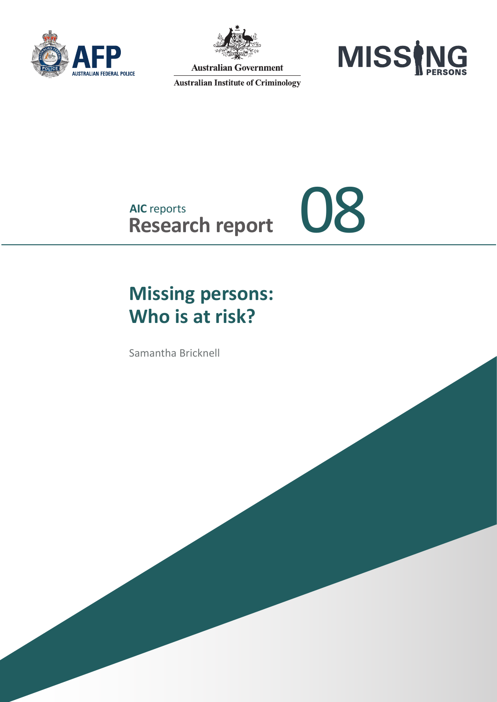



**Australian Government** 

**Australian Institute of Criminology** 



## **AIC** reports AIC reports<br>Research report 08

## **Missing persons: Who is at risk?**

Samantha Bricknell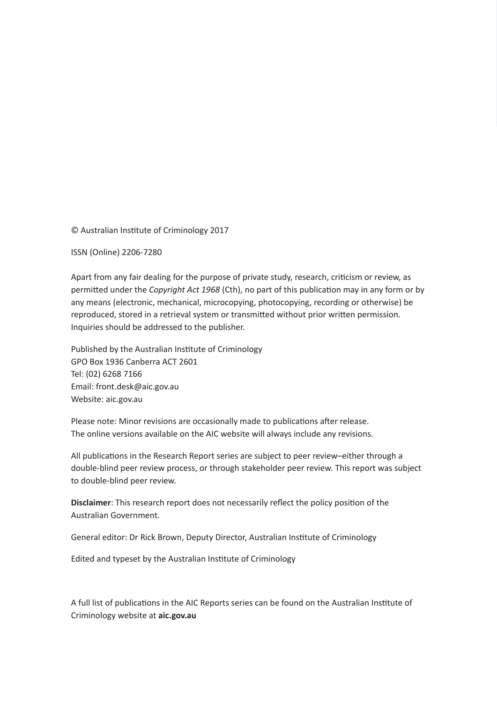© Australian Institute of Criminology 2017

ISSN (Online) 2206-7280

Apart from any fair dealing for the purpose of private study, research, criticism or review, as permitted under the *Copyright Act 1968* (Cth), no part of this publication may in any form or by any means (electronic, mechanical, microcopying, photocopying, recording or otherwise) be reproduced, stored in a retrieval system or transmitted without prior written permission. Inquiries should be addressed to the publisher.

Published by the Australian Institute of Criminology GPO Box 1936 Canberra ACT 2601 Tel: (02) 6268 7166 Email: front.desk@aic.gov.au Website: aic.gov.au

Please note: Minor revisions are occasionally made to publications after release. The online versions available on the AIC website will always include any revisions.

All publications in the Research Report series are subject to peer review–either through a double-blind peer review process, or through stakeholder peer review. This report was subject to double-blind peer review.

**Disclaimer**: This research report does not necessarily reflect the policy position of the Australian Government.

General editor: Dr Rick Brown, Deputy Director, Australian Institute of Criminology

Edited and typeset by the Australian Institute of Criminology

A full list of publications in the AIC Reports series can be found on the Australian Institute of Criminology website at **aic.gov.au**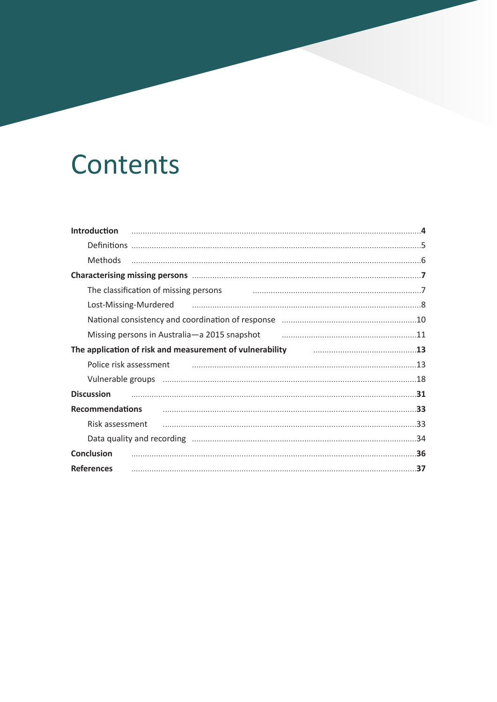## Contents

| <b>Introduction</b>                                                                                                                                                                                                                  |
|--------------------------------------------------------------------------------------------------------------------------------------------------------------------------------------------------------------------------------------|
|                                                                                                                                                                                                                                      |
| <b>Methods</b>                                                                                                                                                                                                                       |
|                                                                                                                                                                                                                                      |
| The classification of missing persons                                                                                                                                                                                                |
| Lost-Missing-Murdered manufactured and the settlem and the settlem and settlem and settlem and settlem and set                                                                                                                       |
|                                                                                                                                                                                                                                      |
| Missing persons in Australia-a 2015 snapshot manufactured and the Missing persons in Australia-a 2015 snapshot                                                                                                                       |
| The application of risk and measurement of vulnerability <b>Fig. 19 and 19 and 19 and 19 and 19 and 19 and 19 and 19 and 19 and 19 and 19 and 19 and 19 and 19 and 19 and 19 and 19 and 19 and 19 and 19 and 19 and 19 and 19 an</b> |
| Police risk assessment manufactured and control of the control of the control of the control of the control of the control of the control of the control of the control of the control of the control of the control of the co       |
|                                                                                                                                                                                                                                      |
| <b>Discussion</b>                                                                                                                                                                                                                    |
| <b>Recommendations</b>                                                                                                                                                                                                               |
| Risk assessment                                                                                                                                                                                                                      |
|                                                                                                                                                                                                                                      |
| <b>Conclusion</b>                                                                                                                                                                                                                    |
| 37<br><b>References</b>                                                                                                                                                                                                              |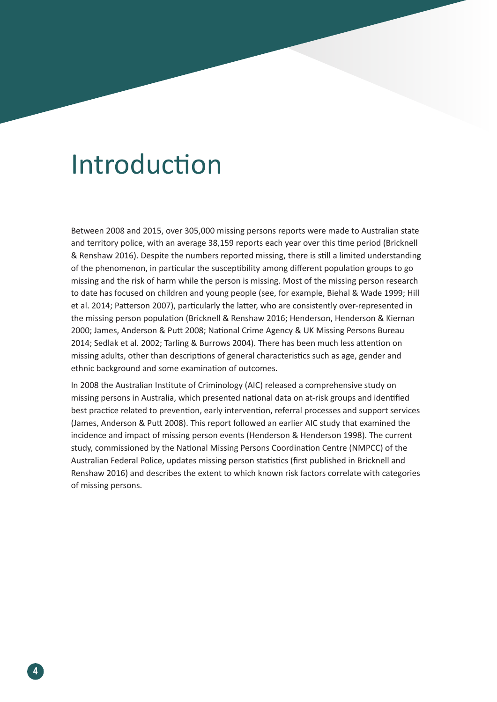## Introduction

Between 2008 and 2015, over 305,000 missing persons reports were made to Australian state and territory police, with an average 38,159 reports each year over this time period (Bricknell & Renshaw 2016). Despite the numbers reported missing, there is still a limited understanding of the phenomenon, in particular the susceptibility among different population groups to go missing and the risk of harm while the person is missing. Most of the missing person research to date has focused on children and young people (see, for example, Biehal & Wade 1999; Hill et al. 2014; Patterson 2007), particularly the latter, who are consistently over-represented in the missing person population (Bricknell & Renshaw 2016; Henderson, Henderson & Kiernan 2000; James, Anderson & Putt 2008; National Crime Agency & UK Missing Persons Bureau 2014; Sedlak et al. 2002; Tarling & Burrows 2004). There has been much less attention on missing adults, other than descriptions of general characteristics such as age, gender and ethnic background and some examination of outcomes.

In 2008 the Australian Institute of Criminology (AIC) released a comprehensive study on missing persons in Australia, which presented national data on at-risk groups and identified best practice related to prevention, early intervention, referral processes and support services (James, Anderson & Putt 2008). This report followed an earlier AIC study that examined the incidence and impact of missing person events (Henderson & Henderson 1998). The current study, commissioned by the National Missing Persons Coordination Centre (NMPCC) of the Australian Federal Police, updates missing person statistics (first published in Bricknell and Renshaw 2016) and describes the extent to which known risk factors correlate with categories of missing persons.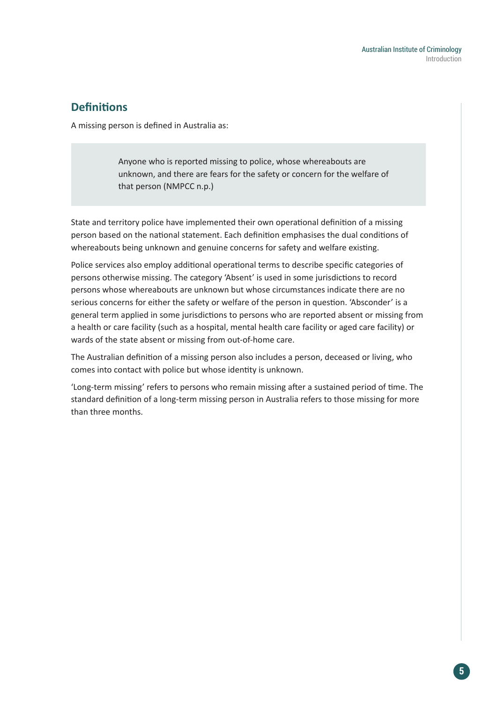## **Definitions**

A missing person is defined in Australia as:

Anyone who is reported missing to police, whose whereabouts are unknown, and there are fears for the safety or concern for the welfare of that person (NMPCC n.p.)

State and territory police have implemented their own operational definition of a missing person based on the national statement. Each definition emphasises the dual conditions of whereabouts being unknown and genuine concerns for safety and welfare existing.

Police services also employ additional operational terms to describe specific categories of persons otherwise missing. The category 'Absent' is used in some jurisdictions to record persons whose whereabouts are unknown but whose circumstances indicate there are no serious concerns for either the safety or welfare of the person in question. 'Absconder' is a general term applied in some jurisdictions to persons who are reported absent or missing from a health or care facility (such as a hospital, mental health care facility or aged care facility) or wards of the state absent or missing from out-of-home care.

The Australian definition of a missing person also includes a person, deceased or living, who comes into contact with police but whose identity is unknown.

'Long-term missing' refers to persons who remain missing after a sustained period of time. The standard definition of a long-term missing person in Australia refers to those missing for more than three months.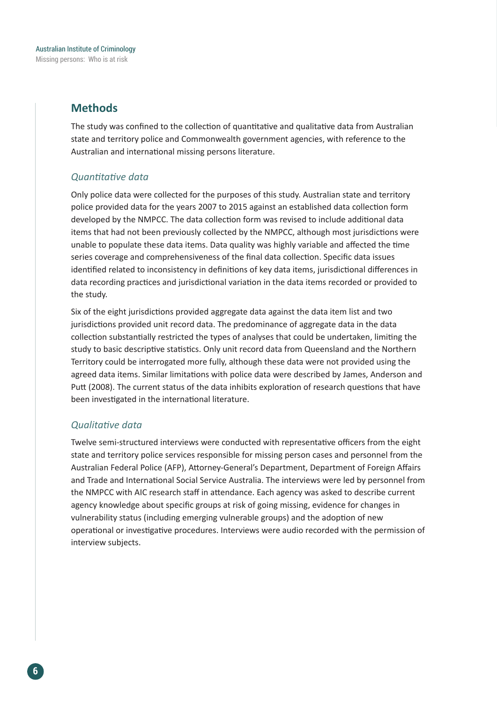## **Methods**

The study was confined to the collection of quantitative and qualitative data from Australian state and territory police and Commonwealth government agencies, with reference to the Australian and international missing persons literature.

### *Quantitative data*

Only police data were collected for the purposes of this study. Australian state and territory police provided data for the years 2007 to 2015 against an established data collection form developed by the NMPCC. The data collection form was revised to include additional data items that had not been previously collected by the NMPCC, although most jurisdictions were unable to populate these data items. Data quality was highly variable and affected the time series coverage and comprehensiveness of the final data collection. Specific data issues identified related to inconsistency in definitions of key data items, jurisdictional differences in data recording practices and jurisdictional variation in the data items recorded or provided to the study.

Six of the eight jurisdictions provided aggregate data against the data item list and two jurisdictions provided unit record data. The predominance of aggregate data in the data collection substantially restricted the types of analyses that could be undertaken, limiting the study to basic descriptive statistics. Only unit record data from Queensland and the Northern Territory could be interrogated more fully, although these data were not provided using the agreed data items. Similar limitations with police data were described by James, Anderson and Putt (2008). The current status of the data inhibits exploration of research questions that have been investigated in the international literature.

#### *Qualitative data*

Twelve semi-structured interviews were conducted with representative officers from the eight state and territory police services responsible for missing person cases and personnel from the Australian Federal Police (AFP), Attorney-General's Department, Department of Foreign Affairs and Trade and International Social Service Australia. The interviews were led by personnel from the NMPCC with AIC research staff in attendance. Each agency was asked to describe current agency knowledge about specific groups at risk of going missing, evidence for changes in vulnerability status (including emerging vulnerable groups) and the adoption of new operational or investigative procedures. Interviews were audio recorded with the permission of interview subjects.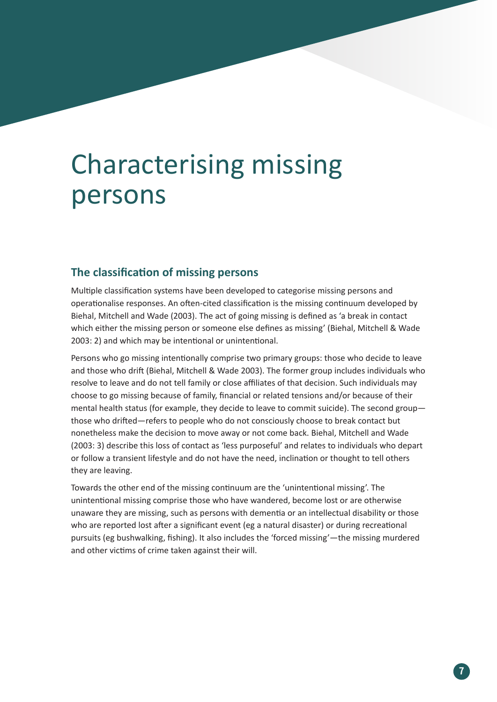## Characterising missing persons

### **The classification of missing persons**

Multiple classification systems have been developed to categorise missing persons and operationalise responses. An often-cited classification is the missing continuum developed by Biehal, Mitchell and Wade (2003). The act of going missing is defined as 'a break in contact which either the missing person or someone else defines as missing' (Biehal, Mitchell & Wade 2003: 2) and which may be intentional or unintentional.

Persons who go missing intentionally comprise two primary groups: those who decide to leave and those who drift (Biehal, Mitchell & Wade 2003). The former group includes individuals who resolve to leave and do not tell family or close affiliates of that decision. Such individuals may choose to go missing because of family, financial or related tensions and/or because of their mental health status (for example, they decide to leave to commit suicide). The second group those who drifted—refers to people who do not consciously choose to break contact but nonetheless make the decision to move away or not come back. Biehal, Mitchell and Wade (2003: 3) describe this loss of contact as 'less purposeful' and relates to individuals who depart or follow a transient lifestyle and do not have the need, inclination or thought to tell others they are leaving.

Towards the other end of the missing continuum are the 'unintentional missing'. The unintentional missing comprise those who have wandered, become lost or are otherwise unaware they are missing, such as persons with dementia or an intellectual disability or those who are reported lost after a significant event (eg a natural disaster) or during recreational pursuits (eg bushwalking, fishing). It also includes the 'forced missing'—the missing murdered and other victims of crime taken against their will.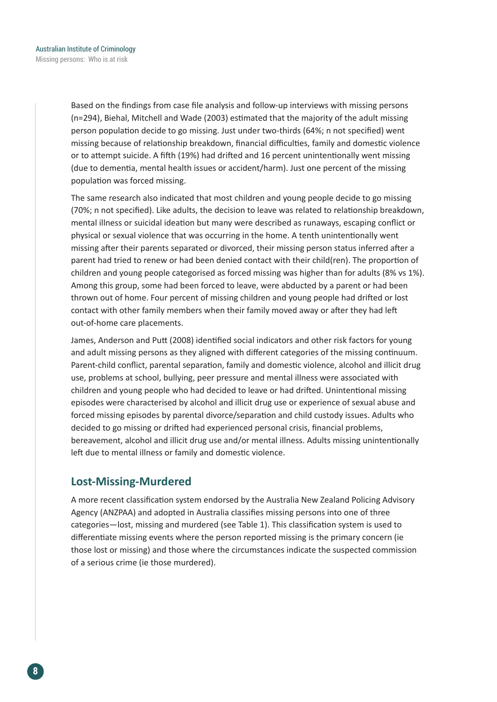Based on the findings from case file analysis and follow-up interviews with missing persons (n=294), Biehal, Mitchell and Wade (2003) estimated that the majority of the adult missing person population decide to go missing. Just under two-thirds (64%; n not specified) went missing because of relationship breakdown, financial difficulties, family and domestic violence or to attempt suicide. A fifth (19%) had drifted and 16 percent unintentionally went missing (due to dementia, mental health issues or accident/harm). Just one percent of the missing population was forced missing.

The same research also indicated that most children and young people decide to go missing (70%; n not specified). Like adults, the decision to leave was related to relationship breakdown, mental illness or suicidal ideation but many were described as runaways, escaping conflict or physical or sexual violence that was occurring in the home. A tenth unintentionally went missing after their parents separated or divorced, their missing person status inferred after a parent had tried to renew or had been denied contact with their child(ren). The proportion of children and young people categorised as forced missing was higher than for adults (8% vs 1%). Among this group, some had been forced to leave, were abducted by a parent or had been thrown out of home. Four percent of missing children and young people had drifted or lost contact with other family members when their family moved away or after they had left out-of-home care placements.

James, Anderson and Putt (2008) identified social indicators and other risk factors for young and adult missing persons as they aligned with different categories of the missing continuum. Parent-child conflict, parental separation, family and domestic violence, alcohol and illicit drug use, problems at school, bullying, peer pressure and mental illness were associated with children and young people who had decided to leave or had drifted. Unintentional missing episodes were characterised by alcohol and illicit drug use or experience of sexual abuse and forced missing episodes by parental divorce/separation and child custody issues. Adults who decided to go missing or drifted had experienced personal crisis, financial problems, bereavement, alcohol and illicit drug use and/or mental illness. Adults missing unintentionally left due to mental illness or family and domestic violence.

### **Lost-Missing-Murdered**

A more recent classification system endorsed by the Australia New Zealand Policing Advisory Agency (ANZPAA) and adopted in Australia classifies missing persons into one of three categories—lost, missing and murdered (see Table 1). This classification system is used to differentiate missing events where the person reported missing is the primary concern (ie those lost or missing) and those where the circumstances indicate the suspected commission of a serious crime (ie those murdered).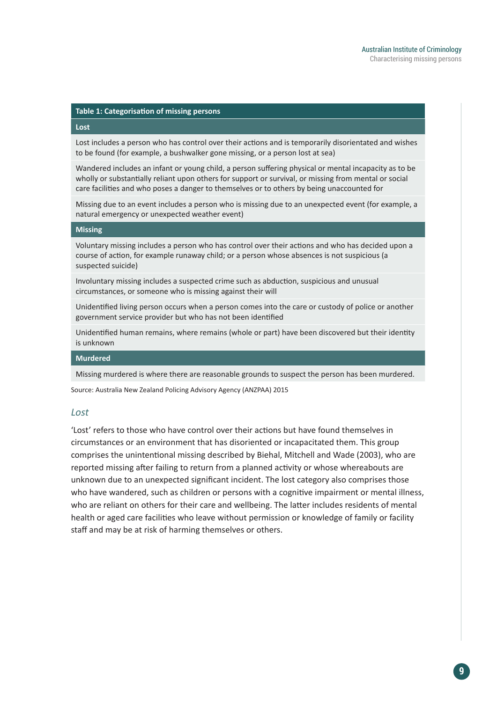#### **Table 1: Categorisation of missing persons**

#### **Lost**

Lost includes a person who has control over their actions and is temporarily disorientated and wishes to be found (for example, a bushwalker gone missing, or a person lost at sea)

Wandered includes an infant or young child, a person suffering physical or mental incapacity as to be wholly or substantially reliant upon others for support or survival, or missing from mental or social care facilities and who poses a danger to themselves or to others by being unaccounted for

Missing due to an event includes a person who is missing due to an unexpected event (for example, a natural emergency or unexpected weather event)

#### **Missing**

Voluntary missing includes a person who has control over their actions and who has decided upon a course of action, for example runaway child; or a person whose absences is not suspicious (a suspected suicide)

Involuntary missing includes a suspected crime such as abduction, suspicious and unusual circumstances, or someone who is missing against their will

Unidentified living person occurs when a person comes into the care or custody of police or another government service provider but who has not been identified

Unidentified human remains, where remains (whole or part) have been discovered but their identity is unknown

#### **Murdered**

Missing murdered is where there are reasonable grounds to suspect the person has been murdered.

Source: Australia New Zealand Policing Advisory Agency (ANZPAA) 2015

#### *Lost*

'Lost' refers to those who have control over their actions but have found themselves in circumstances or an environment that has disoriented or incapacitated them. This group comprises the unintentional missing described by Biehal, Mitchell and Wade (2003), who are reported missing after failing to return from a planned activity or whose whereabouts are unknown due to an unexpected significant incident. The lost category also comprises those who have wandered, such as children or persons with a cognitive impairment or mental illness, who are reliant on others for their care and wellbeing. The latter includes residents of mental health or aged care facilities who leave without permission or knowledge of family or facility staff and may be at risk of harming themselves or others.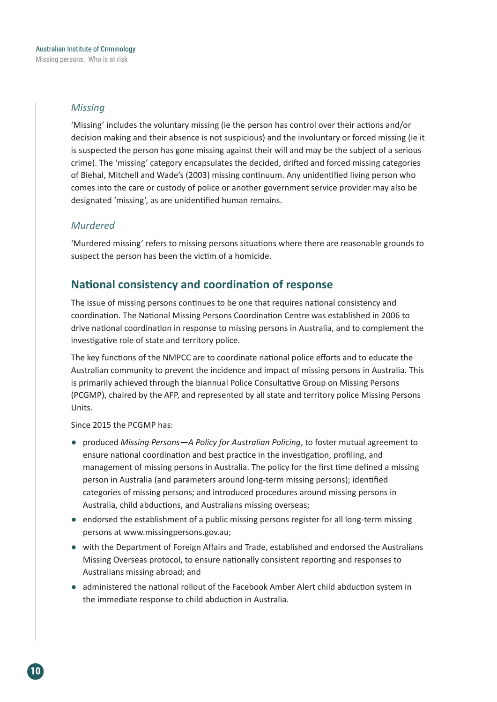#### *Missing*

'Missing' includes the voluntary missing (ie the person has control over their actions and/or decision making and their absence is not suspicious) and the involuntary or forced missing (ie it is suspected the person has gone missing against their will and may be the subject of a serious crime). The 'missing' category encapsulates the decided, drifted and forced missing categories of Biehal, Mitchell and Wade's (2003) missing continuum. Any unidentified living person who comes into the care or custody of police or another government service provider may also be designated 'missing', as are unidentified human remains.

#### *Murdered*

'Murdered missing' refers to missing persons situations where there are reasonable grounds to suspect the person has been the victim of a homicide.

### **National consistency and coordination of response**

The issue of missing persons continues to be one that requires national consistency and coordination. The National Missing Persons Coordination Centre was established in 2006 to drive national coordination in response to missing persons in Australia, and to complement the investigative role of state and territory police.

The key functions of the NMPCC are to coordinate national police efforts and to educate the Australian community to prevent the incidence and impact of missing persons in Australia. This is primarily achieved through the biannual Police Consultative Group on Missing Persons (PCGMP), chaired by the AFP, and represented by all state and territory police Missing Persons Units.

#### Since 2015 the PCGMP has:

- produced *Missing Persons—A Policy for Australian Policing*, to foster mutual agreement to ensure national coordination and best practice in the investigation, profiling, and management of missing persons in Australia. The policy for the first time defined a missing person in Australia (and parameters around long-term missing persons); identified categories of missing persons; and introduced procedures around missing persons in Australia, child abductions, and Australians missing overseas;
- endorsed the establishment of a public missing persons register for all long-term missing persons at www.missingpersons.gov.au;
- with the Department of Foreign Affairs and Trade, established and endorsed the Australians Missing Overseas protocol, to ensure nationally consistent reporting and responses to Australians missing abroad; and
- administered the national rollout of the Facebook Amber Alert child abduction system in the immediate response to child abduction in Australia.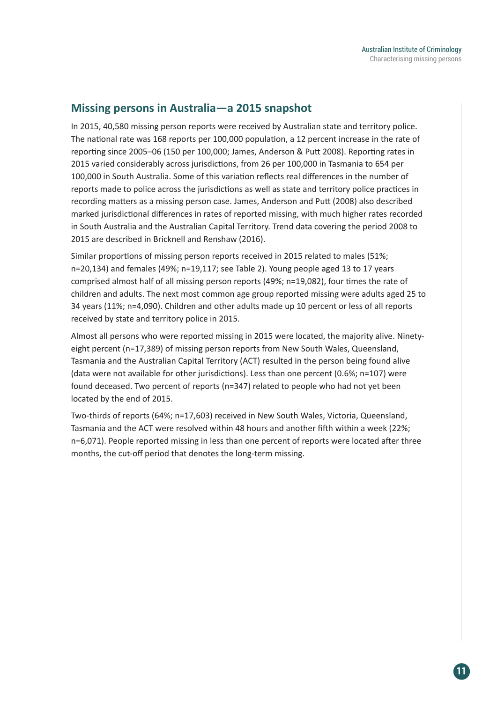### **Missing persons in Australia—a 2015 snapshot**

In 2015, 40,580 missing person reports were received by Australian state and territory police. The national rate was 168 reports per 100,000 population, a 12 percent increase in the rate of reporting since 2005–06 (150 per 100,000; James, Anderson & Putt 2008). Reporting rates in 2015 varied considerably across jurisdictions, from 26 per 100,000 in Tasmania to 654 per 100,000 in South Australia. Some of this variation reflects real differences in the number of reports made to police across the jurisdictions as well as state and territory police practices in recording matters as a missing person case. James, Anderson and Putt (2008) also described marked jurisdictional differences in rates of reported missing, with much higher rates recorded in South Australia and the Australian Capital Territory. Trend data covering the period 2008 to 2015 are described in Bricknell and Renshaw (2016).

Similar proportions of missing person reports received in 2015 related to males (51%; n=20,134) and females (49%; n=19,117; see Table 2). Young people aged 13 to 17 years comprised almost half of all missing person reports (49%; n=19,082), four times the rate of children and adults. The next most common age group reported missing were adults aged 25 to 34 years (11%; n=4,090). Children and other adults made up 10 percent or less of all reports received by state and territory police in 2015.

Almost all persons who were reported missing in 2015 were located, the majority alive. Ninetyeight percent (n=17,389) of missing person reports from New South Wales, Queensland, Tasmania and the Australian Capital Territory (ACT) resulted in the person being found alive (data were not available for other jurisdictions). Less than one percent (0.6%; n=107) were found deceased. Two percent of reports (n=347) related to people who had not yet been located by the end of 2015.

Two-thirds of reports (64%; n=17,603) received in New South Wales, Victoria, Queensland, Tasmania and the ACT were resolved within 48 hours and another fifth within a week (22%; n=6,071). People reported missing in less than one percent of reports were located after three months, the cut-off period that denotes the long-term missing.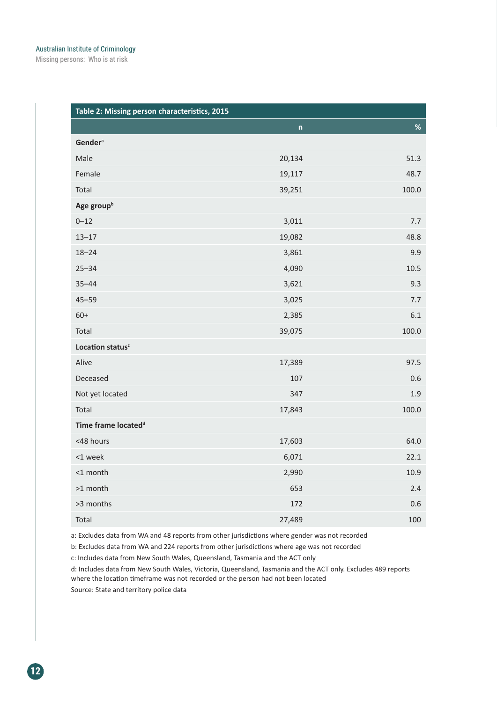Missing persons: Who is at risk

| Table 2: Missing person characteristics, 2015 |              |       |  |  |
|-----------------------------------------------|--------------|-------|--|--|
|                                               | $\mathsf{n}$ | $\%$  |  |  |
| <b>Gender</b> <sup>a</sup>                    |              |       |  |  |
| Male                                          | 20,134       | 51.3  |  |  |
| Female                                        | 19,117       | 48.7  |  |  |
| Total                                         | 39,251       | 100.0 |  |  |
| Age group <sup>b</sup>                        |              |       |  |  |
| $0 - 12$                                      | 3,011        | 7.7   |  |  |
| $13 - 17$                                     | 19,082       | 48.8  |  |  |
| $18 - 24$                                     | 3,861        | 9.9   |  |  |
| $25 - 34$                                     | 4,090        | 10.5  |  |  |
| $35 - 44$                                     | 3,621        | 9.3   |  |  |
| $45 - 59$                                     | 3,025        | 7.7   |  |  |
| $60+$                                         | 2,385        | 6.1   |  |  |
| Total                                         | 39,075       | 100.0 |  |  |
| Location status <sup>c</sup>                  |              |       |  |  |
| Alive                                         | 17,389       | 97.5  |  |  |
| Deceased                                      | 107          | 0.6   |  |  |
| Not yet located                               | 347          | 1.9   |  |  |
| Total                                         | 17,843       | 100.0 |  |  |
| Time frame located <sup>d</sup>               |              |       |  |  |
| <48 hours                                     | 17,603       | 64.0  |  |  |
| <1 week                                       | 6,071        | 22.1  |  |  |
| <1 month                                      | 2,990        | 10.9  |  |  |
| >1 month                                      | 653          | 2.4   |  |  |
| >3 months                                     | 172          | 0.6   |  |  |
| Total                                         | 27,489       | 100   |  |  |

a: Excludes data from WA and 48 reports from other jurisdictions where gender was not recorded

b: Excludes data from WA and 224 reports from other jurisdictions where age was not recorded

c: Includes data from New South Wales, Queensland, Tasmania and the ACT only

d: Includes data from New South Wales, Victoria, Queensland, Tasmania and the ACT only. Excludes 489 reports where the location timeframe was not recorded or the person had not been located

Source: State and territory police data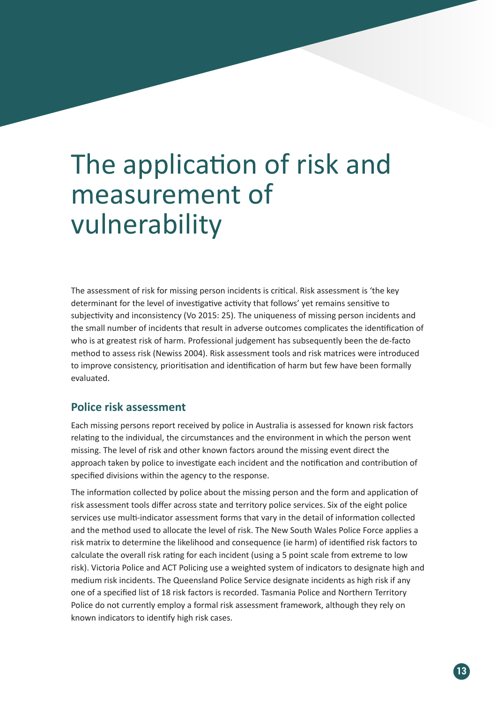# The application of risk and measurement of vulnerability

The assessment of risk for missing person incidents is critical. Risk assessment is 'the key determinant for the level of investigative activity that follows' yet remains sensitive to subjectivity and inconsistency (Vo 2015: 25). The uniqueness of missing person incidents and the small number of incidents that result in adverse outcomes complicates the identification of who is at greatest risk of harm. Professional judgement has subsequently been the de-facto method to assess risk (Newiss 2004). Risk assessment tools and risk matrices were introduced to improve consistency, prioritisation and identification of harm but few have been formally evaluated.

### **Police risk assessment**

Each missing persons report received by police in Australia is assessed for known risk factors relating to the individual, the circumstances and the environment in which the person went missing. The level of risk and other known factors around the missing event direct the approach taken by police to investigate each incident and the notification and contribution of specified divisions within the agency to the response.

The information collected by police about the missing person and the form and application of risk assessment tools differ across state and territory police services. Six of the eight police services use multi-indicator assessment forms that vary in the detail of information collected and the method used to allocate the level of risk. The New South Wales Police Force applies a risk matrix to determine the likelihood and consequence (ie harm) of identified risk factors to calculate the overall risk rating for each incident (using a 5 point scale from extreme to low risk). Victoria Police and ACT Policing use a weighted system of indicators to designate high and medium risk incidents. The Queensland Police Service designate incidents as high risk if any one of a specified list of 18 risk factors is recorded. Tasmania Police and Northern Territory Police do not currently employ a formal risk assessment framework, although they rely on known indicators to identify high risk cases.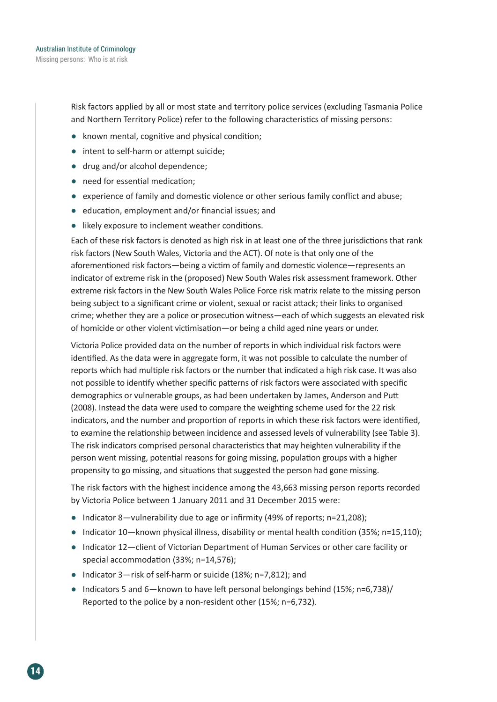Risk factors applied by all or most state and territory police services (excluding Tasmania Police and Northern Territory Police) refer to the following characteristics of missing persons:

- known mental, cognitive and physical condition;
- intent to self-harm or attempt suicide;
- drug and/or alcohol dependence;
- need for essential medication:
- experience of family and domestic violence or other serious family conflict and abuse;
- education, employment and/or financial issues; and
- likely exposure to inclement weather conditions.

Each of these risk factors is denoted as high risk in at least one of the three jurisdictions that rank risk factors (New South Wales, Victoria and the ACT). Of note is that only one of the aforementioned risk factors—being a victim of family and domestic violence—represents an indicator of extreme risk in the (proposed) New South Wales risk assessment framework. Other extreme risk factors in the New South Wales Police Force risk matrix relate to the missing person being subject to a significant crime or violent, sexual or racist attack; their links to organised crime; whether they are a police or prosecution witness—each of which suggests an elevated risk of homicide or other violent victimisation—or being a child aged nine years or under.

Victoria Police provided data on the number of reports in which individual risk factors were identified. As the data were in aggregate form, it was not possible to calculate the number of reports which had multiple risk factors or the number that indicated a high risk case. It was also not possible to identify whether specific patterns of risk factors were associated with specific demographics or vulnerable groups, as had been undertaken by James, Anderson and Putt (2008). Instead the data were used to compare the weighting scheme used for the 22 risk indicators, and the number and proportion of reports in which these risk factors were identified, to examine the relationship between incidence and assessed levels of vulnerability (see Table 3). The risk indicators comprised personal characteristics that may heighten vulnerability if the person went missing, potential reasons for going missing, population groups with a higher propensity to go missing, and situations that suggested the person had gone missing.

The risk factors with the highest incidence among the 43,663 missing person reports recorded by Victoria Police between 1 January 2011 and 31 December 2015 were:

- Indicator 8—vulnerability due to age or infirmity (49% of reports; n=21,208);
- Indicator 10—known physical illness, disability or mental health condition (35%; n=15,110);
- Indicator 12—client of Victorian Department of Human Services or other care facility or special accommodation (33%; n=14,576);
- Indicator 3—risk of self-harm or suicide (18%; n=7,812); and
- Indicators 5 and 6—known to have left personal belongings behind (15%; n=6,738)/ Reported to the police by a non-resident other (15%; n=6,732).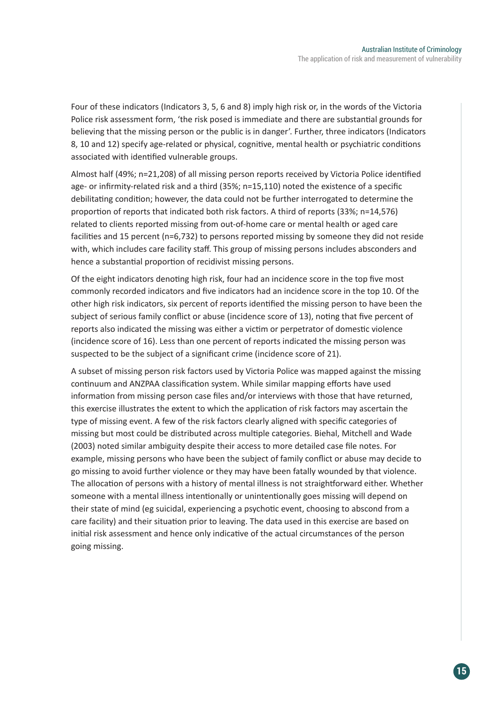Four of these indicators (Indicators 3, 5, 6 and 8) imply high risk or, in the words of the Victoria Police risk assessment form, 'the risk posed is immediate and there are substantial grounds for believing that the missing person or the public is in danger'. Further, three indicators (Indicators 8, 10 and 12) specify age-related or physical, cognitive, mental health or psychiatric conditions associated with identified vulnerable groups.

Almost half (49%; n=21,208) of all missing person reports received by Victoria Police identified age- or infirmity-related risk and a third (35%; n=15,110) noted the existence of a specific debilitating condition; however, the data could not be further interrogated to determine the proportion of reports that indicated both risk factors. A third of reports (33%; n=14,576) related to clients reported missing from out-of-home care or mental health or aged care facilities and 15 percent (n=6,732) to persons reported missing by someone they did not reside with, which includes care facility staff. This group of missing persons includes absconders and hence a substantial proportion of recidivist missing persons.

Of the eight indicators denoting high risk, four had an incidence score in the top five most commonly recorded indicators and five indicators had an incidence score in the top 10. Of the other high risk indicators, six percent of reports identified the missing person to have been the subject of serious family conflict or abuse (incidence score of 13), noting that five percent of reports also indicated the missing was either a victim or perpetrator of domestic violence (incidence score of 16). Less than one percent of reports indicated the missing person was suspected to be the subject of a significant crime (incidence score of 21).

A subset of missing person risk factors used by Victoria Police was mapped against the missing continuum and ANZPAA classification system. While similar mapping efforts have used information from missing person case files and/or interviews with those that have returned, this exercise illustrates the extent to which the application of risk factors may ascertain the type of missing event. A few of the risk factors clearly aligned with specific categories of missing but most could be distributed across multiple categories. Biehal, Mitchell and Wade (2003) noted similar ambiguity despite their access to more detailed case file notes. For example, missing persons who have been the subject of family conflict or abuse may decide to go missing to avoid further violence or they may have been fatally wounded by that violence. The allocation of persons with a history of mental illness is not straightforward either. Whether someone with a mental illness intentionally or unintentionally goes missing will depend on their state of mind (eg suicidal, experiencing a psychotic event, choosing to abscond from a care facility) and their situation prior to leaving. The data used in this exercise are based on initial risk assessment and hence only indicative of the actual circumstances of the person going missing.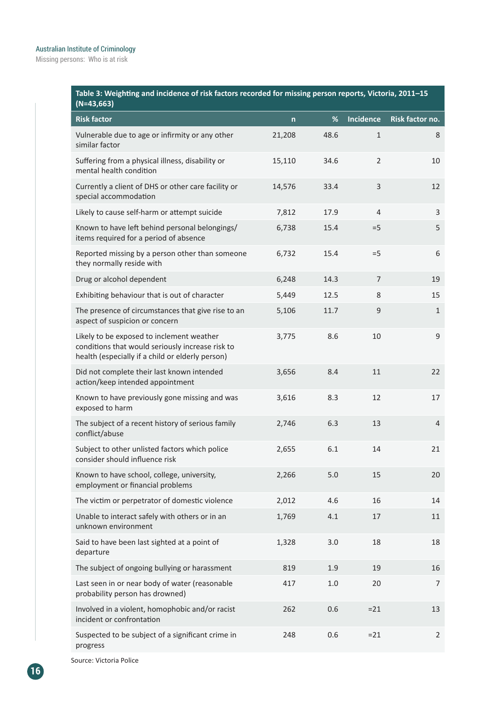### Australian Institute of Criminology

Missing persons: Who is at risk

| Table 3: Weighting and incidence of risk factors recorded for missing person reports, Victoria, 2011–15 |
|---------------------------------------------------------------------------------------------------------|
| $(N=43,663)$                                                                                            |

| $(19 - 43,003)$                                                                                                                                   |        |      |                  |                 |
|---------------------------------------------------------------------------------------------------------------------------------------------------|--------|------|------------------|-----------------|
| <b>Risk factor</b>                                                                                                                                | n      | %    | <b>Incidence</b> | Risk factor no. |
| Vulnerable due to age or infirmity or any other<br>similar factor                                                                                 | 21,208 | 48.6 | $\mathbf{1}$     | 8               |
| Suffering from a physical illness, disability or<br>mental health condition                                                                       | 15,110 | 34.6 | $\overline{2}$   | 10              |
| Currently a client of DHS or other care facility or<br>special accommodation                                                                      | 14,576 | 33.4 | 3                | 12              |
| Likely to cause self-harm or attempt suicide                                                                                                      | 7,812  | 17.9 | $\overline{4}$   | 3               |
| Known to have left behind personal belongings/<br>items required for a period of absence                                                          | 6,738  | 15.4 | $=5$             | 5               |
| Reported missing by a person other than someone<br>they normally reside with                                                                      | 6,732  | 15.4 | $=5$             | 6               |
| Drug or alcohol dependent                                                                                                                         | 6,248  | 14.3 | $\overline{7}$   | 19              |
| Exhibiting behaviour that is out of character                                                                                                     | 5,449  | 12.5 | 8                | 15              |
| The presence of circumstances that give rise to an<br>aspect of suspicion or concern                                                              | 5,106  | 11.7 | 9                | $\mathbf{1}$    |
| Likely to be exposed to inclement weather<br>conditions that would seriously increase risk to<br>health (especially if a child or elderly person) | 3,775  | 8.6  | 10               | 9               |
| Did not complete their last known intended<br>action/keep intended appointment                                                                    | 3,656  | 8.4  | 11               | 22              |
| Known to have previously gone missing and was<br>exposed to harm                                                                                  | 3,616  | 8.3  | 12               | 17              |
| The subject of a recent history of serious family<br>conflict/abuse                                                                               | 2,746  | 6.3  | 13               | $\overline{4}$  |
| Subject to other unlisted factors which police<br>consider should influence risk                                                                  | 2,655  | 6.1  | 14               | 21              |
| Known to have school, college, university,<br>employment or financial problems                                                                    | 2,266  | 5.0  | 15               | 20              |
| The victim or perpetrator of domestic violence                                                                                                    | 2,012  | 4.6  | 16               | 14              |
| Unable to interact safely with others or in an<br>unknown environment                                                                             | 1,769  | 4.1  | 17               | 11              |
| Said to have been last sighted at a point of<br>departure                                                                                         | 1,328  | 3.0  | 18               | 18              |
| The subject of ongoing bullying or harassment                                                                                                     | 819    | 1.9  | 19               | 16              |
| Last seen in or near body of water (reasonable<br>probability person has drowned)                                                                 | 417    | 1.0  | 20               | 7               |
| Involved in a violent, homophobic and/or racist<br>incident or confrontation                                                                      | 262    | 0.6  | $= 21$           | 13              |
| Suspected to be subject of a significant crime in<br>progress                                                                                     | 248    | 0.6  | $= 21$           | $\overline{2}$  |

Source: Victoria Police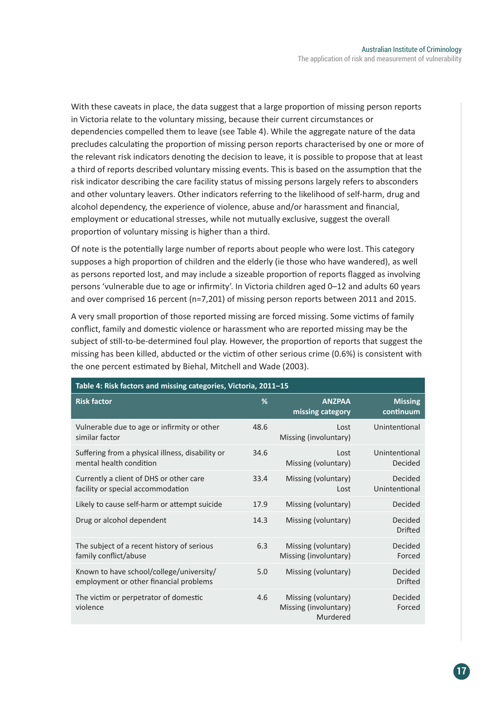With these caveats in place, the data suggest that a large proportion of missing person reports in Victoria relate to the voluntary missing, because their current circumstances or dependencies compelled them to leave (see Table 4). While the aggregate nature of the data precludes calculating the proportion of missing person reports characterised by one or more of the relevant risk indicators denoting the decision to leave, it is possible to propose that at least a third of reports described voluntary missing events. This is based on the assumption that the risk indicator describing the care facility status of missing persons largely refers to absconders and other voluntary leavers. Other indicators referring to the likelihood of self-harm, drug and alcohol dependency, the experience of violence, abuse and/or harassment and financial, employment or educational stresses, while not mutually exclusive, suggest the overall proportion of voluntary missing is higher than a third.

Of note is the potentially large number of reports about people who were lost. This category supposes a high proportion of children and the elderly (ie those who have wandered), as well as persons reported lost, and may include a sizeable proportion of reports flagged as involving persons 'vulnerable due to age or infirmity'. In Victoria children aged 0–12 and adults 60 years and over comprised 16 percent (n=7,201) of missing person reports between 2011 and 2015.

A very small proportion of those reported missing are forced missing. Some victims of family conflict, family and domestic violence or harassment who are reported missing may be the subject of still-to-be-determined foul play. However, the proportion of reports that suggest the missing has been killed, abducted or the victim of other serious crime (0.6%) is consistent with the one percent estimated by Biehal, Mitchell and Wade (2003).

| Table 4: Risk factors and missing categories, Victoria, 2011-15                    |      |                                                          |                             |  |
|------------------------------------------------------------------------------------|------|----------------------------------------------------------|-----------------------------|--|
| <b>Risk factor</b>                                                                 | %    | <b>ANZPAA</b><br>missing category                        | <b>Missing</b><br>continuum |  |
| Vulnerable due to age or infirmity or other<br>similar factor                      | 48.6 | Lost<br>Missing (involuntary)                            | Unintentional               |  |
| Suffering from a physical illness, disability or<br>mental health condition        | 34.6 | Lost<br>Missing (voluntary)                              | Unintentional<br>Decided    |  |
| Currently a client of DHS or other care<br>facility or special accommodation       | 33.4 | Missing (voluntary)<br>Lost                              | Decided<br>Unintentional    |  |
| Likely to cause self-harm or attempt suicide                                       | 17.9 | Missing (voluntary)                                      | Decided                     |  |
| Drug or alcohol dependent                                                          | 14.3 | Missing (voluntary)                                      | Decided<br>Drifted          |  |
| The subject of a recent history of serious<br>family conflict/abuse                | 6.3  | Missing (voluntary)<br>Missing (involuntary)             | Decided<br>Forced           |  |
| Known to have school/college/university/<br>employment or other financial problems | 5.0  | Missing (voluntary)                                      | Decided<br><b>Drifted</b>   |  |
| The victim or perpetrator of domestic<br>violence                                  | 4.6  | Missing (voluntary)<br>Missing (involuntary)<br>Murdered | Decided<br>Forced           |  |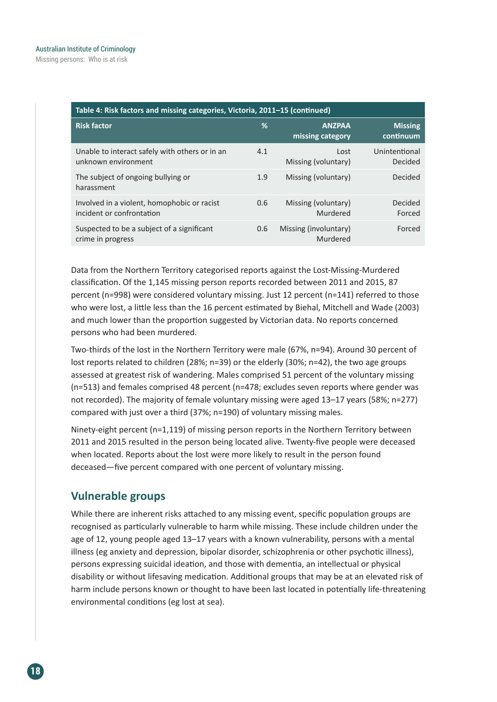| Table 4: Risk factors and missing categories, Victoria, 2011-15 (continued) |     |                                   |                             |  |
|-----------------------------------------------------------------------------|-----|-----------------------------------|-----------------------------|--|
| <b>Risk factor</b>                                                          | %   | <b>ANZPAA</b><br>missing category | <b>Missing</b><br>continuum |  |
| Unable to interact safely with others or in an<br>unknown environment       | 4.1 | Lost<br>Missing (voluntary)       | Unintentional<br>Decided    |  |
| The subject of ongoing bullying or<br>harassment                            | 1.9 | Missing (voluntary)               | Decided                     |  |
| Involved in a violent, homophobic or racist<br>incident or confrontation    | 0.6 | Missing (voluntary)<br>Murdered   | Decided<br>Forced           |  |
| Suspected to be a subject of a significant<br>crime in progress             | 0.6 | Missing (involuntary)<br>Murdered | Forced                      |  |

Data from the Northern Territory categorised reports against the Lost-Missing-Murdered classification. Of the 1,145 missing person reports recorded between 2011 and 2015, 87 percent (n=998) were considered voluntary missing. Just 12 percent (n=141) referred to those who were lost, a little less than the 16 percent estimated by Biehal, Mitchell and Wade (2003) and much lower than the proportion suggested by Victorian data. No reports concerned persons who had been murdered.

Two-thirds of the lost in the Northern Territory were male (67%, n=94). Around 30 percent of lost reports related to children (28%; n=39) or the elderly (30%; n=42), the two age groups assessed at greatest risk of wandering. Males comprised 51 percent of the voluntary missing (n=513) and females comprised 48 percent (n=478; excludes seven reports where gender was not recorded). The majority of female voluntary missing were aged 13–17 years (58%; n=277) compared with just over a third (37%; n=190) of voluntary missing males.

Ninety-eight percent (n=1,119) of missing person reports in the Northern Territory between 2011 and 2015 resulted in the person being located alive. Twenty-five people were deceased when located. Reports about the lost were more likely to result in the person found deceased—five percent compared with one percent of voluntary missing.

### **Vulnerable groups**

While there are inherent risks attached to any missing event, specific population groups are recognised as particularly vulnerable to harm while missing. These include children under the age of 12, young people aged 13–17 years with a known vulnerability, persons with a mental illness (eg anxiety and depression, bipolar disorder, schizophrenia or other psychotic illness), persons expressing suicidal ideation, and those with dementia, an intellectual or physical disability or without lifesaving medication. Additional groups that may be at an elevated risk of harm include persons known or thought to have been last located in potentially life-threatening environmental conditions (eg lost at sea).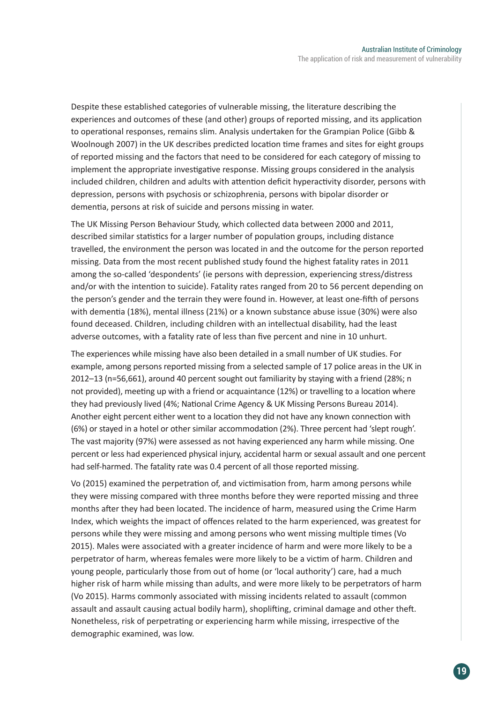Despite these established categories of vulnerable missing, the literature describing the experiences and outcomes of these (and other) groups of reported missing, and its application to operational responses, remains slim. Analysis undertaken for the Grampian Police (Gibb & Woolnough 2007) in the UK describes predicted location time frames and sites for eight groups of reported missing and the factors that need to be considered for each category of missing to implement the appropriate investigative response. Missing groups considered in the analysis included children, children and adults with attention deficit hyperactivity disorder, persons with depression, persons with psychosis or schizophrenia, persons with bipolar disorder or dementia, persons at risk of suicide and persons missing in water.

The UK Missing Person Behaviour Study, which collected data between 2000 and 2011, described similar statistics for a larger number of population groups, including distance travelled, the environment the person was located in and the outcome for the person reported missing. Data from the most recent published study found the highest fatality rates in 2011 among the so-called 'despondents' (ie persons with depression, experiencing stress/distress and/or with the intention to suicide). Fatality rates ranged from 20 to 56 percent depending on the person's gender and the terrain they were found in. However, at least one-fifth of persons with dementia (18%), mental illness (21%) or a known substance abuse issue (30%) were also found deceased. Children, including children with an intellectual disability, had the least adverse outcomes, with a fatality rate of less than five percent and nine in 10 unhurt.

The experiences while missing have also been detailed in a small number of UK studies. For example, among persons reported missing from a selected sample of 17 police areas in the UK in 2012–13 (n=56,661), around 40 percent sought out familiarity by staying with a friend (28%; n not provided), meeting up with a friend or acquaintance (12%) or travelling to a location where they had previously lived (4%; National Crime Agency & UK Missing Persons Bureau 2014). Another eight percent either went to a location they did not have any known connection with (6%) or stayed in a hotel or other similar accommodation (2%). Three percent had 'slept rough'. The vast majority (97%) were assessed as not having experienced any harm while missing. One percent or less had experienced physical injury, accidental harm or sexual assault and one percent had self-harmed. The fatality rate was 0.4 percent of all those reported missing.

Vo (2015) examined the perpetration of, and victimisation from, harm among persons while they were missing compared with three months before they were reported missing and three months after they had been located. The incidence of harm, measured using the Crime Harm Index, which weights the impact of offences related to the harm experienced, was greatest for persons while they were missing and among persons who went missing multiple times (Vo 2015). Males were associated with a greater incidence of harm and were more likely to be a perpetrator of harm, whereas females were more likely to be a victim of harm. Children and young people, particularly those from out of home (or 'local authority') care, had a much higher risk of harm while missing than adults, and were more likely to be perpetrators of harm (Vo 2015). Harms commonly associated with missing incidents related to assault (common assault and assault causing actual bodily harm), shoplifting, criminal damage and other theft. Nonetheless, risk of perpetrating or experiencing harm while missing, irrespective of the demographic examined, was low.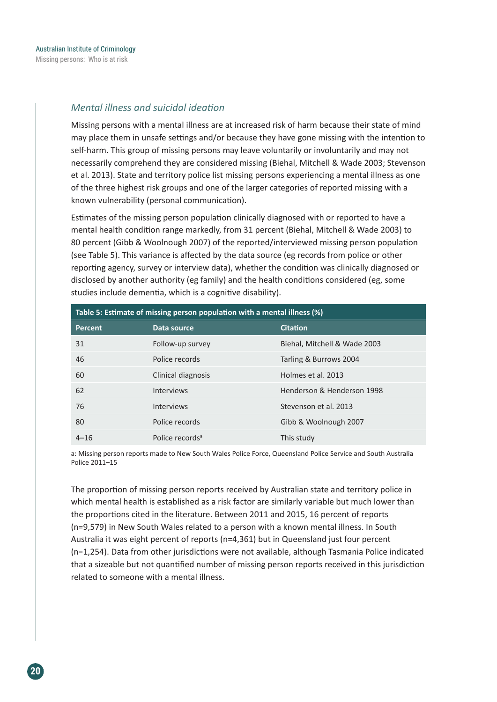#### *Mental illness and suicidal ideation*

Missing persons with a mental illness are at increased risk of harm because their state of mind may place them in unsafe settings and/or because they have gone missing with the intention to self-harm. This group of missing persons may leave voluntarily or involuntarily and may not necessarily comprehend they are considered missing (Biehal, Mitchell & Wade 2003; Stevenson et al. 2013). State and territory police list missing persons experiencing a mental illness as one of the three highest risk groups and one of the larger categories of reported missing with a known vulnerability (personal communication).

Estimates of the missing person population clinically diagnosed with or reported to have a mental health condition range markedly, from 31 percent (Biehal, Mitchell & Wade 2003) to 80 percent (Gibb & Woolnough 2007) of the reported/interviewed missing person population (see Table 5). This variance is affected by the data source (eg records from police or other reporting agency, survey or interview data), whether the condition was clinically diagnosed or disclosed by another authority (eg family) and the health conditions considered (eg, some studies include dementia, which is a cognitive disability).

| Table 5: Estimate of missing person population with a mental illness (%) |                             |                              |  |
|--------------------------------------------------------------------------|-----------------------------|------------------------------|--|
| Percent                                                                  | Data source                 | <b>Citation</b>              |  |
| 31                                                                       | Follow-up survey            | Biehal, Mitchell & Wade 2003 |  |
| 46                                                                       | Police records              | Tarling & Burrows 2004       |  |
| 60                                                                       | Clinical diagnosis          | Holmes et al. 2013           |  |
| 62                                                                       | <b>Interviews</b>           | Henderson & Henderson 1998   |  |
| 76                                                                       | <b>Interviews</b>           | Stevenson et al. 2013        |  |
| 80                                                                       | Police records              | Gibb & Woolnough 2007        |  |
| $4 - 16$                                                                 | Police records <sup>a</sup> | This study                   |  |

a: Missing person reports made to New South Wales Police Force, Queensland Police Service and South Australia Police 2011–15

The proportion of missing person reports received by Australian state and territory police in which mental health is established as a risk factor are similarly variable but much lower than the proportions cited in the literature. Between 2011 and 2015, 16 percent of reports (n=9,579) in New South Wales related to a person with a known mental illness. In South Australia it was eight percent of reports (n=4,361) but in Queensland just four percent (n=1,254). Data from other jurisdictions were not available, although Tasmania Police indicated that a sizeable but not quantified number of missing person reports received in this jurisdiction related to someone with a mental illness.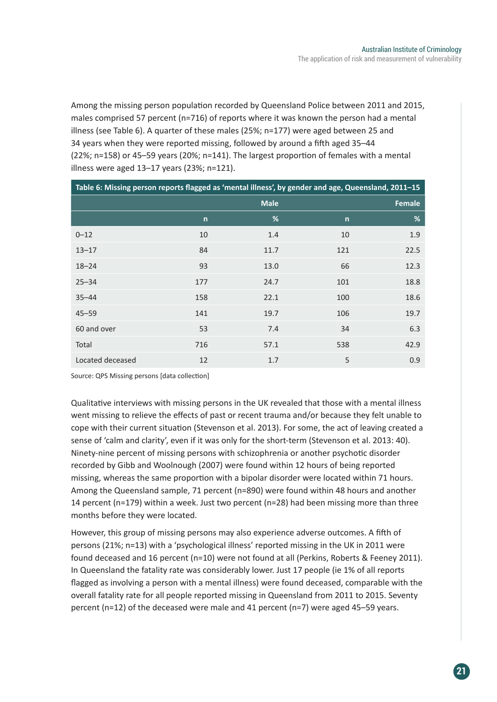Among the missing person population recorded by Queensland Police between 2011 and 2015, males comprised 57 percent (n=716) of reports where it was known the person had a mental illness (see Table 6). A quarter of these males (25%; n=177) were aged between 25 and 34 years when they were reported missing, followed by around a fifth aged 35–44 (22%; n=158) or 45–59 years (20%; n=141). The largest proportion of females with a mental illness were aged 13–17 years (23%; n=121).

| Table 6: Missing person reports flagged as 'mental illness', by gender and age, Queensland, 2011-15 |              |             |              |      |
|-----------------------------------------------------------------------------------------------------|--------------|-------------|--------------|------|
|                                                                                                     |              | <b>Male</b> |              |      |
|                                                                                                     | $\mathsf{n}$ | %           | $\mathsf{n}$ | %    |
| $0 - 12$                                                                                            | 10           | 1.4         | 10           | 1.9  |
| $13 - 17$                                                                                           | 84           | 11.7        | 121          | 22.5 |
| $18 - 24$                                                                                           | 93           | 13.0        | 66           | 12.3 |
| $25 - 34$                                                                                           | 177          | 24.7        | 101          | 18.8 |
| $35 - 44$                                                                                           | 158          | 22.1        | 100          | 18.6 |
| $45 - 59$                                                                                           | 141          | 19.7        | 106          | 19.7 |
| 60 and over                                                                                         | 53           | 7.4         | 34           | 6.3  |
| Total                                                                                               | 716          | 57.1        | 538          | 42.9 |
| Located deceased                                                                                    | 12           | 1.7         | 5            | 0.9  |

Source: QPS Missing persons [data collection]

Qualitative interviews with missing persons in the UK revealed that those with a mental illness went missing to relieve the effects of past or recent trauma and/or because they felt unable to cope with their current situation (Stevenson et al. 2013). For some, the act of leaving created a sense of 'calm and clarity', even if it was only for the short-term (Stevenson et al. 2013: 40). Ninety-nine percent of missing persons with schizophrenia or another psychotic disorder recorded by Gibb and Woolnough (2007) were found within 12 hours of being reported missing, whereas the same proportion with a bipolar disorder were located within 71 hours. Among the Queensland sample, 71 percent (n=890) were found within 48 hours and another 14 percent (n=179) within a week. Just two percent (n=28) had been missing more than three months before they were located.

However, this group of missing persons may also experience adverse outcomes. A fifth of persons (21%; n=13) with a 'psychological illness' reported missing in the UK in 2011 were found deceased and 16 percent (n=10) were not found at all (Perkins, Roberts & Feeney 2011). In Queensland the fatality rate was considerably lower. Just 17 people (ie 1% of all reports flagged as involving a person with a mental illness) were found deceased, comparable with the overall fatality rate for all people reported missing in Queensland from 2011 to 2015. Seventy percent (n=12) of the deceased were male and 41 percent (n=7) were aged 45–59 years.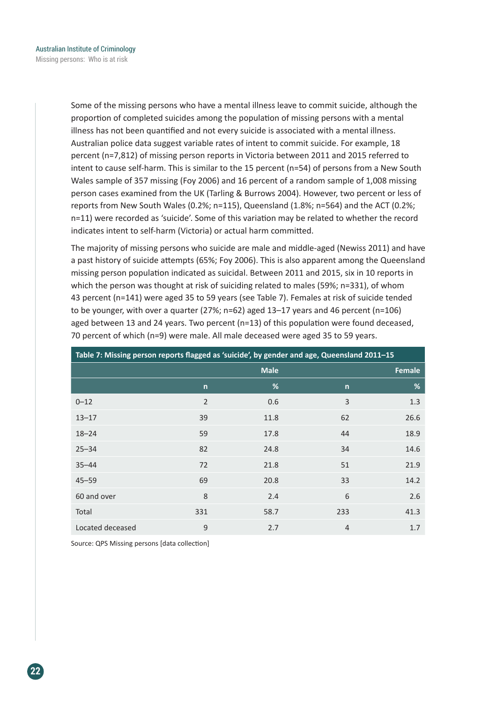Some of the missing persons who have a mental illness leave to commit suicide, although the proportion of completed suicides among the population of missing persons with a mental illness has not been quantified and not every suicide is associated with a mental illness. Australian police data suggest variable rates of intent to commit suicide. For example, 18 percent (n=7,812) of missing person reports in Victoria between 2011 and 2015 referred to intent to cause self-harm. This is similar to the 15 percent (n=54) of persons from a New South Wales sample of 357 missing (Foy 2006) and 16 percent of a random sample of 1,008 missing person cases examined from the UK (Tarling & Burrows 2004). However, two percent or less of reports from New South Wales (0.2%; n=115), Queensland (1.8%; n=564) and the ACT (0.2%; n=11) were recorded as 'suicide'. Some of this variation may be related to whether the record indicates intent to self-harm (Victoria) or actual harm committed.

The majority of missing persons who suicide are male and middle-aged (Newiss 2011) and have a past history of suicide attempts (65%; Foy 2006). This is also apparent among the Queensland missing person population indicated as suicidal. Between 2011 and 2015, six in 10 reports in which the person was thought at risk of suiciding related to males (59%; n=331), of whom 43 percent (n=141) were aged 35 to 59 years (see Table 7). Females at risk of suicide tended to be younger, with over a quarter (27%;  $n=62$ ) aged 13–17 years and 46 percent ( $n=106$ ) aged between 13 and 24 years. Two percent (n=13) of this population were found deceased, 70 percent of which (n=9) were male. All male deceased were aged 35 to 59 years.

| Table 7: Missing person reports flagged as 'suicide', by gender and age, Queensland 2011-15 |                              |      |                |      |  |
|---------------------------------------------------------------------------------------------|------------------------------|------|----------------|------|--|
|                                                                                             | <b>Male</b><br><b>Female</b> |      |                |      |  |
|                                                                                             | $\mathsf{n}$                 | %    | $\mathsf{n}$   | %    |  |
| $0 - 12$                                                                                    | $\overline{2}$               | 0.6  | 3              | 1.3  |  |
| $13 - 17$                                                                                   | 39                           | 11.8 | 62             | 26.6 |  |
| $18 - 24$                                                                                   | 59                           | 17.8 | 44             | 18.9 |  |
| $25 - 34$                                                                                   | 82                           | 24.8 | 34             | 14.6 |  |
| $35 - 44$                                                                                   | 72                           | 21.8 | 51             | 21.9 |  |
| $45 - 59$                                                                                   | 69                           | 20.8 | 33             | 14.2 |  |
| 60 and over                                                                                 | 8                            | 2.4  | 6              | 2.6  |  |
| Total                                                                                       | 331                          | 58.7 | 233            | 41.3 |  |
| Located deceased                                                                            | 9                            | 2.7  | $\overline{4}$ | 1.7  |  |

Source: QPS Missing persons [data collection]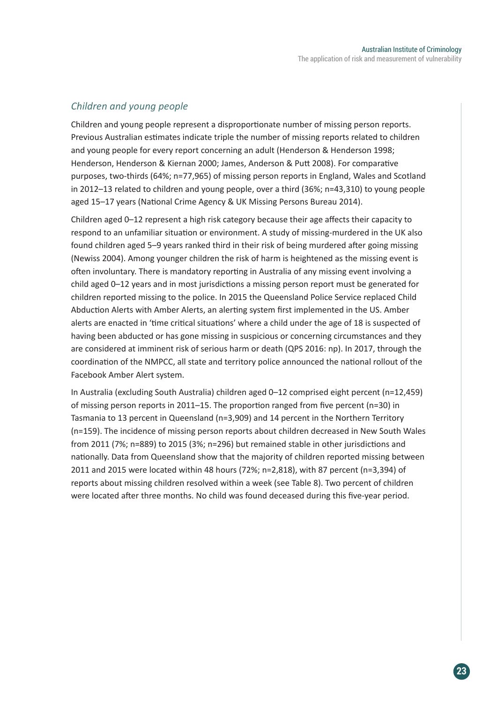#### *Children and young people*

Children and young people represent a disproportionate number of missing person reports. Previous Australian estimates indicate triple the number of missing reports related to children and young people for every report concerning an adult (Henderson & Henderson 1998; Henderson, Henderson & Kiernan 2000; James, Anderson & Putt 2008). For comparative purposes, two-thirds (64%; n=77,965) of missing person reports in England, Wales and Scotland in 2012–13 related to children and young people, over a third (36%; n=43,310) to young people aged 15–17 years (National Crime Agency & UK Missing Persons Bureau 2014).

Children aged 0–12 represent a high risk category because their age affects their capacity to respond to an unfamiliar situation or environment. A study of missing-murdered in the UK also found children aged 5–9 years ranked third in their risk of being murdered after going missing (Newiss 2004). Among younger children the risk of harm is heightened as the missing event is often involuntary. There is mandatory reporting in Australia of any missing event involving a child aged 0–12 years and in most jurisdictions a missing person report must be generated for children reported missing to the police. In 2015 the Queensland Police Service replaced Child Abduction Alerts with Amber Alerts, an alerting system first implemented in the US. Amber alerts are enacted in 'time critical situations' where a child under the age of 18 is suspected of having been abducted or has gone missing in suspicious or concerning circumstances and they are considered at imminent risk of serious harm or death (QPS 2016: np). In 2017, through the coordination of the NMPCC, all state and territory police announced the national rollout of the Facebook Amber Alert system.

In Australia (excluding South Australia) children aged 0–12 comprised eight percent (n=12,459) of missing person reports in 2011–15. The proportion ranged from five percent (n=30) in Tasmania to 13 percent in Queensland (n=3,909) and 14 percent in the Northern Territory (n=159). The incidence of missing person reports about children decreased in New South Wales from 2011 (7%; n=889) to 2015 (3%; n=296) but remained stable in other jurisdictions and nationally. Data from Queensland show that the majority of children reported missing between 2011 and 2015 were located within 48 hours (72%; n=2,818), with 87 percent (n=3,394) of reports about missing children resolved within a week (see Table 8). Two percent of children were located after three months. No child was found deceased during this five-year period.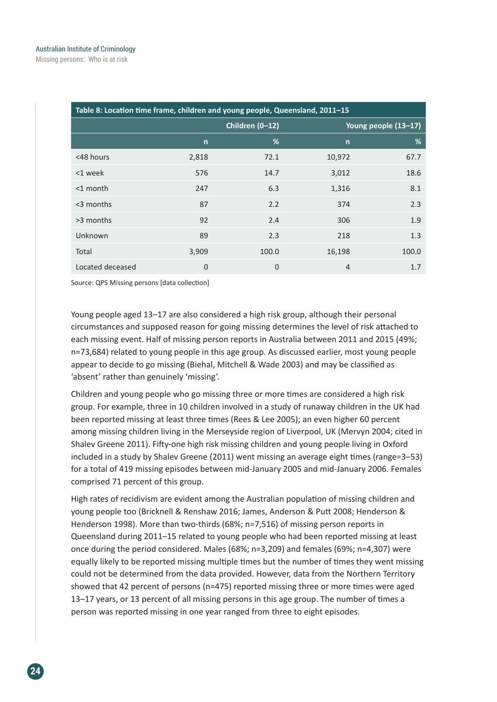Missing persons: Who is at risk

| Table 8: Location time frame, children and young people, Queensland, 2011-15 |              |                 |              |                      |
|------------------------------------------------------------------------------|--------------|-----------------|--------------|----------------------|
|                                                                              |              | Children (0-12) |              | Young people (13-17) |
|                                                                              | $\mathsf{n}$ | %               | $\mathsf{n}$ | %                    |
| <48 hours                                                                    | 2,818        | 72.1            | 10,972       | 67.7                 |
| <1 week                                                                      | 576          | 14.7            | 3,012        | 18.6                 |
| $<$ 1 month                                                                  | 247          | 6.3             | 1,316        | 8.1                  |
| $<$ 3 months                                                                 | 87           | 2.2             | 374          | 2.3                  |
| >3 months                                                                    | 92           | 2.4             | 306          | 1.9                  |
| Unknown                                                                      | 89           | 2.3             | 218          | 1.3                  |
| Total                                                                        | 3,909        | 100.0           | 16,198       | 100.0                |
| Located deceased                                                             | 0            | $\overline{0}$  | 4            | 1.7                  |

Source: QPS Missing persons [data collection]

Young people aged 13–17 are also considered a high risk group, although their personal circumstances and supposed reason for going missing determines the level of risk attached to each missing event. Half of missing person reports in Australia between 2011 and 2015 (49%; n=73,684) related to young people in this age group. As discussed earlier, most young people appear to decide to go missing (Biehal, Mitchell & Wade 2003) and may be classified as 'absent' rather than genuinely 'missing'.

Children and young people who go missing three or more times are considered a high risk group. For example, three in 10 children involved in a study of runaway children in the UK had been reported missing at least three times (Rees & Lee 2005); an even higher 60 percent among missing children living in the Merseyside region of Liverpool, UK (Mervyn 2004; cited in Shalev Greene 2011). Fifty-one high risk missing children and young people living in Oxford included in a study by Shalev Greene (2011) went missing an average eight times (range=3–53) for a total of 419 missing episodes between mid-January 2005 and mid-January 2006. Females comprised 71 percent of this group.

High rates of recidivism are evident among the Australian population of missing children and young people too (Bricknell & Renshaw 2016; James, Anderson & Putt 2008; Henderson & Henderson 1998). More than two-thirds (68%; n=7,516) of missing person reports in Queensland during 2011–15 related to young people who had been reported missing at least once during the period considered. Males (68%; n=3,209) and females (69%; n=4,307) were equally likely to be reported missing multiple times but the number of times they went missing could not be determined from the data provided. However, data from the Northern Territory showed that 42 percent of persons (n=475) reported missing three or more times were aged 13–17 years, or 13 percent of all missing persons in this age group. The number of times a person was reported missing in one year ranged from three to eight episodes.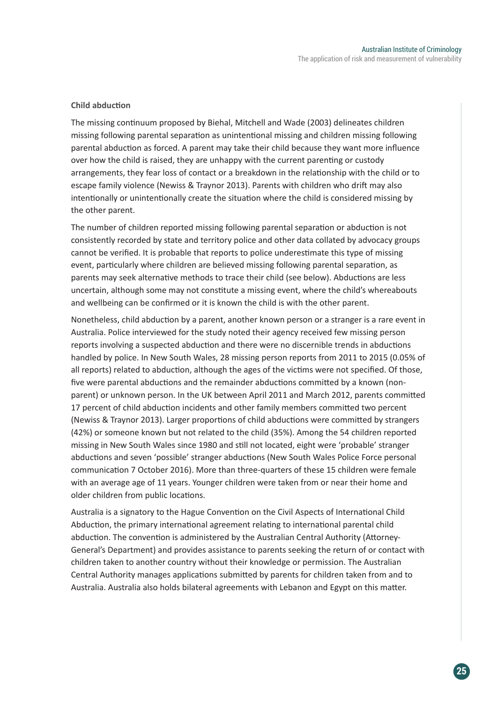#### **Child abduction**

The missing continuum proposed by Biehal, Mitchell and Wade (2003) delineates children missing following parental separation as unintentional missing and children missing following parental abduction as forced. A parent may take their child because they want more influence over how the child is raised, they are unhappy with the current parenting or custody arrangements, they fear loss of contact or a breakdown in the relationship with the child or to escape family violence (Newiss & Traynor 2013). Parents with children who drift may also intentionally or unintentionally create the situation where the child is considered missing by the other parent.

The number of children reported missing following parental separation or abduction is not consistently recorded by state and territory police and other data collated by advocacy groups cannot be verified. It is probable that reports to police underestimate this type of missing event, particularly where children are believed missing following parental separation, as parents may seek alternative methods to trace their child (see below). Abductions are less uncertain, although some may not constitute a missing event, where the child's whereabouts and wellbeing can be confirmed or it is known the child is with the other parent.

Nonetheless, child abduction by a parent, another known person or a stranger is a rare event in Australia. Police interviewed for the study noted their agency received few missing person reports involving a suspected abduction and there were no discernible trends in abductions handled by police. In New South Wales, 28 missing person reports from 2011 to 2015 (0.05% of all reports) related to abduction, although the ages of the victims were not specified. Of those, five were parental abductions and the remainder abductions committed by a known (nonparent) or unknown person. In the UK between April 2011 and March 2012, parents committed 17 percent of child abduction incidents and other family members committed two percent (Newiss & Traynor 2013). Larger proportions of child abductions were committed by strangers (42%) or someone known but not related to the child (35%). Among the 54 children reported missing in New South Wales since 1980 and still not located, eight were 'probable' stranger abductions and seven 'possible' stranger abductions (New South Wales Police Force personal communication 7 October 2016). More than three-quarters of these 15 children were female with an average age of 11 years. Younger children were taken from or near their home and older children from public locations.

Australia is a signatory to the Hague Convention on the Civil Aspects of International Child Abduction, the primary international agreement relating to international parental child abduction. The convention is administered by the Australian Central Authority (Attorney-General's Department) and provides assistance to parents seeking the return of or contact with children taken to another country without their knowledge or permission. The Australian Central Authority manages applications submitted by parents for children taken from and to Australia. Australia also holds bilateral agreements with Lebanon and Egypt on this matter.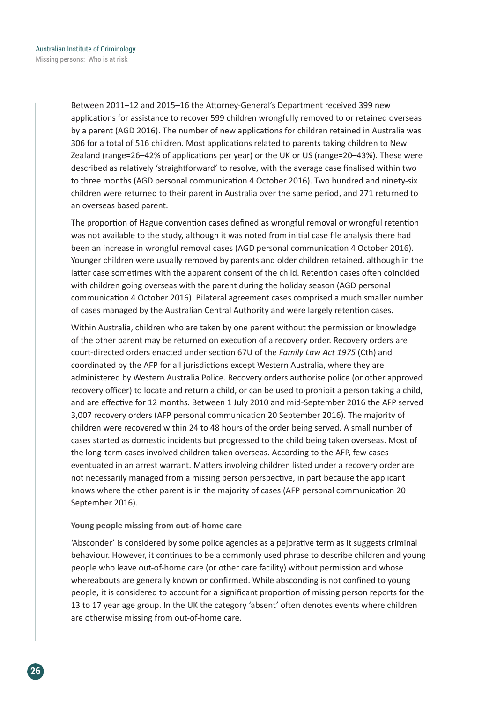Between 2011–12 and 2015–16 the Attorney-General's Department received 399 new applications for assistance to recover 599 children wrongfully removed to or retained overseas by a parent (AGD 2016). The number of new applications for children retained in Australia was 306 for a total of 516 children. Most applications related to parents taking children to New Zealand (range=26–42% of applications per year) or the UK or US (range=20–43%). These were described as relatively 'straightforward' to resolve, with the average case finalised within two to three months (AGD personal communication 4 October 2016). Two hundred and ninety-six children were returned to their parent in Australia over the same period, and 271 returned to an overseas based parent.

The proportion of Hague convention cases defined as wrongful removal or wrongful retention was not available to the study, although it was noted from initial case file analysis there had been an increase in wrongful removal cases (AGD personal communication 4 October 2016). Younger children were usually removed by parents and older children retained, although in the latter case sometimes with the apparent consent of the child. Retention cases often coincided with children going overseas with the parent during the holiday season (AGD personal communication 4 October 2016). Bilateral agreement cases comprised a much smaller number of cases managed by the Australian Central Authority and were largely retention cases.

Within Australia, children who are taken by one parent without the permission or knowledge of the other parent may be returned on execution of a recovery order. Recovery orders are court-directed orders enacted under section 67U of the *Family Law Act 1975* (Cth) and coordinated by the AFP for all jurisdictions except Western Australia, where they are administered by Western Australia Police. Recovery orders authorise police (or other approved recovery officer) to locate and return a child, or can be used to prohibit a person taking a child, and are effective for 12 months. Between 1 July 2010 and mid-September 2016 the AFP served 3,007 recovery orders (AFP personal communication 20 September 2016). The majority of children were recovered within 24 to 48 hours of the order being served. A small number of cases started as domestic incidents but progressed to the child being taken overseas. Most of the long-term cases involved children taken overseas. According to the AFP, few cases eventuated in an arrest warrant. Matters involving children listed under a recovery order are not necessarily managed from a missing person perspective, in part because the applicant knows where the other parent is in the majority of cases (AFP personal communication 20 September 2016).

#### **Young people missing from out-of-home care**

'Absconder' is considered by some police agencies as a pejorative term as it suggests criminal behaviour. However, it continues to be a commonly used phrase to describe children and young people who leave out-of-home care (or other care facility) without permission and whose whereabouts are generally known or confirmed. While absconding is not confined to young people, it is considered to account for a significant proportion of missing person reports for the 13 to 17 year age group. In the UK the category 'absent' often denotes events where children are otherwise missing from out-of-home care.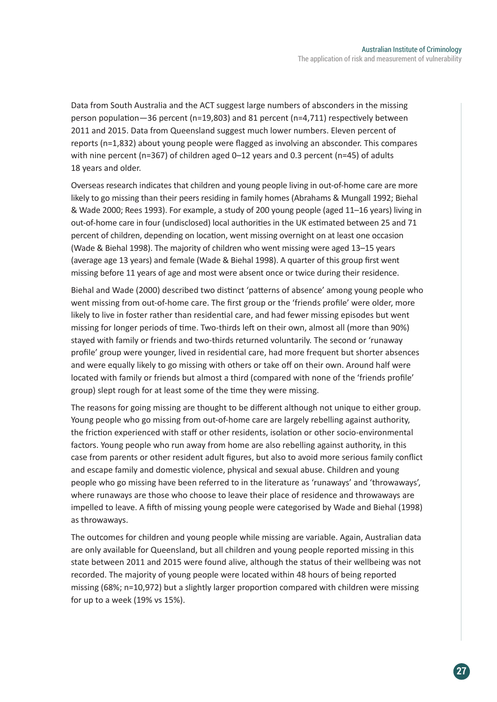Data from South Australia and the ACT suggest large numbers of absconders in the missing person population—36 percent (n=19,803) and 81 percent (n=4,711) respectively between 2011 and 2015. Data from Queensland suggest much lower numbers. Eleven percent of reports (n=1,832) about young people were flagged as involving an absconder. This compares with nine percent (n=367) of children aged 0–12 years and 0.3 percent (n=45) of adults 18 years and older.

Overseas research indicates that children and young people living in out-of-home care are more likely to go missing than their peers residing in family homes (Abrahams & Mungall 1992; Biehal & Wade 2000; Rees 1993). For example, a study of 200 young people (aged 11–16 years) living in out-of-home care in four (undisclosed) local authorities in the UK estimated between 25 and 71 percent of children, depending on location, went missing overnight on at least one occasion (Wade & Biehal 1998). The majority of children who went missing were aged 13–15 years (average age 13 years) and female (Wade & Biehal 1998). A quarter of this group first went missing before 11 years of age and most were absent once or twice during their residence.

Biehal and Wade (2000) described two distinct 'patterns of absence' among young people who went missing from out-of-home care. The first group or the 'friends profile' were older, more likely to live in foster rather than residential care, and had fewer missing episodes but went missing for longer periods of time. Two-thirds left on their own, almost all (more than 90%) stayed with family or friends and two-thirds returned voluntarily. The second or 'runaway profile' group were younger, lived in residential care, had more frequent but shorter absences and were equally likely to go missing with others or take off on their own. Around half were located with family or friends but almost a third (compared with none of the 'friends profile' group) slept rough for at least some of the time they were missing.

The reasons for going missing are thought to be different although not unique to either group. Young people who go missing from out-of-home care are largely rebelling against authority, the friction experienced with staff or other residents, isolation or other socio-environmental factors. Young people who run away from home are also rebelling against authority, in this case from parents or other resident adult figures, but also to avoid more serious family conflict and escape family and domestic violence, physical and sexual abuse. Children and young people who go missing have been referred to in the literature as 'runaways' and 'throwaways', where runaways are those who choose to leave their place of residence and throwaways are impelled to leave. A fifth of missing young people were categorised by Wade and Biehal (1998) as throwaways.

The outcomes for children and young people while missing are variable. Again, Australian data are only available for Queensland, but all children and young people reported missing in this state between 2011 and 2015 were found alive, although the status of their wellbeing was not recorded. The majority of young people were located within 48 hours of being reported missing (68%; n=10,972) but a slightly larger proportion compared with children were missing for up to a week (19% vs 15%).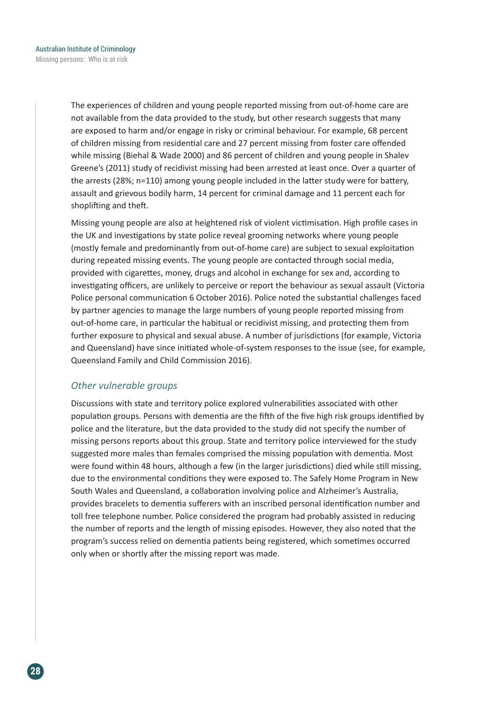The experiences of children and young people reported missing from out-of-home care are not available from the data provided to the study, but other research suggests that many are exposed to harm and/or engage in risky or criminal behaviour. For example, 68 percent of children missing from residential care and 27 percent missing from foster care offended while missing (Biehal & Wade 2000) and 86 percent of children and young people in Shalev Greene's (2011) study of recidivist missing had been arrested at least once. Over a quarter of the arrests (28%; n=110) among young people included in the latter study were for battery, assault and grievous bodily harm, 14 percent for criminal damage and 11 percent each for shoplifting and theft.

Missing young people are also at heightened risk of violent victimisation. High profile cases in the UK and investigations by state police reveal grooming networks where young people (mostly female and predominantly from out-of-home care) are subject to sexual exploitation during repeated missing events. The young people are contacted through social media, provided with cigarettes, money, drugs and alcohol in exchange for sex and, according to investigating officers, are unlikely to perceive or report the behaviour as sexual assault (Victoria Police personal communication 6 October 2016). Police noted the substantial challenges faced by partner agencies to manage the large numbers of young people reported missing from out-of-home care, in particular the habitual or recidivist missing, and protecting them from further exposure to physical and sexual abuse. A number of jurisdictions (for example, Victoria and Queensland) have since initiated whole-of-system responses to the issue (see, for example, Queensland Family and Child Commission 2016).

#### *Other vulnerable groups*

Discussions with state and territory police explored vulnerabilities associated with other population groups. Persons with dementia are the fifth of the five high risk groups identified by police and the literature, but the data provided to the study did not specify the number of missing persons reports about this group. State and territory police interviewed for the study suggested more males than females comprised the missing population with dementia. Most were found within 48 hours, although a few (in the larger jurisdictions) died while still missing, due to the environmental conditions they were exposed to. The Safely Home Program in New South Wales and Queensland, a collaboration involving police and Alzheimer's Australia, provides bracelets to dementia sufferers with an inscribed personal identification number and toll free telephone number. Police considered the program had probably assisted in reducing the number of reports and the length of missing episodes. However, they also noted that the program's success relied on dementia patients being registered, which sometimes occurred only when or shortly after the missing report was made.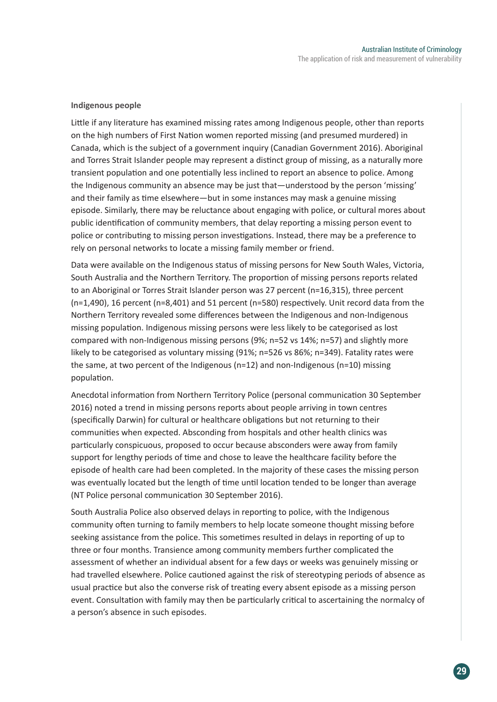#### **Indigenous people**

Little if any literature has examined missing rates among Indigenous people, other than reports on the high numbers of First Nation women reported missing (and presumed murdered) in Canada, which is the subject of a government inquiry (Canadian Government 2016). Aboriginal and Torres Strait Islander people may represent a distinct group of missing, as a naturally more transient population and one potentially less inclined to report an absence to police. Among the Indigenous community an absence may be just that—understood by the person 'missing' and their family as time elsewhere—but in some instances may mask a genuine missing episode. Similarly, there may be reluctance about engaging with police, or cultural mores about public identification of community members, that delay reporting a missing person event to police or contributing to missing person investigations. Instead, there may be a preference to rely on personal networks to locate a missing family member or friend.

Data were available on the Indigenous status of missing persons for New South Wales, Victoria, South Australia and the Northern Territory. The proportion of missing persons reports related to an Aboriginal or Torres Strait Islander person was 27 percent (n=16,315), three percent (n=1,490), 16 percent (n=8,401) and 51 percent (n=580) respectively. Unit record data from the Northern Territory revealed some differences between the Indigenous and non-Indigenous missing population. Indigenous missing persons were less likely to be categorised as lost compared with non-Indigenous missing persons (9%; n=52 vs 14%; n=57) and slightly more likely to be categorised as voluntary missing (91%; n=526 vs 86%; n=349). Fatality rates were the same, at two percent of the Indigenous (n=12) and non-Indigenous (n=10) missing population.

Anecdotal information from Northern Territory Police (personal communication 30 September 2016) noted a trend in missing persons reports about people arriving in town centres (specifically Darwin) for cultural or healthcare obligations but not returning to their communities when expected. Absconding from hospitals and other health clinics was particularly conspicuous, proposed to occur because absconders were away from family support for lengthy periods of time and chose to leave the healthcare facility before the episode of health care had been completed. In the majority of these cases the missing person was eventually located but the length of time until location tended to be longer than average (NT Police personal communication 30 September 2016).

South Australia Police also observed delays in reporting to police, with the Indigenous community often turning to family members to help locate someone thought missing before seeking assistance from the police. This sometimes resulted in delays in reporting of up to three or four months. Transience among community members further complicated the assessment of whether an individual absent for a few days or weeks was genuinely missing or had travelled elsewhere. Police cautioned against the risk of stereotyping periods of absence as usual practice but also the converse risk of treating every absent episode as a missing person event. Consultation with family may then be particularly critical to ascertaining the normalcy of a person's absence in such episodes.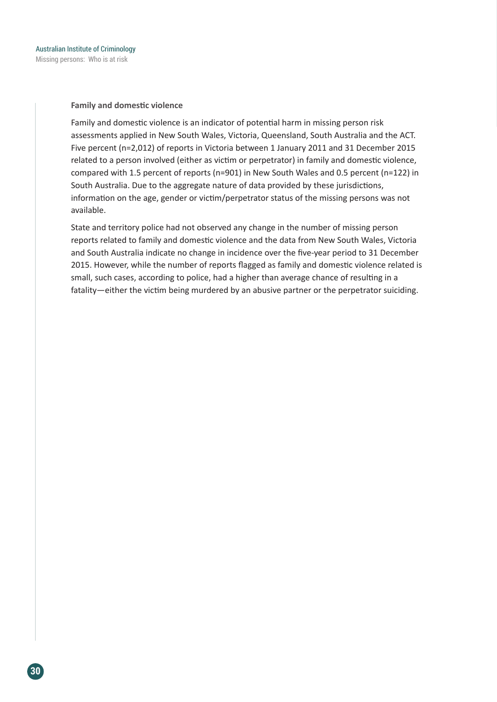**Family and domestic violence**

Family and domestic violence is an indicator of potential harm in missing person risk assessments applied in New South Wales, Victoria, Queensland, South Australia and the ACT. Five percent (n=2,012) of reports in Victoria between 1 January 2011 and 31 December 2015 related to a person involved (either as victim or perpetrator) in family and domestic violence, compared with 1.5 percent of reports (n=901) in New South Wales and 0.5 percent (n=122) in South Australia. Due to the aggregate nature of data provided by these jurisdictions, information on the age, gender or victim/perpetrator status of the missing persons was not available.

State and territory police had not observed any change in the number of missing person reports related to family and domestic violence and the data from New South Wales, Victoria and South Australia indicate no change in incidence over the five-year period to 31 December 2015. However, while the number of reports flagged as family and domestic violence related is small, such cases, according to police, had a higher than average chance of resulting in a fatality—either the victim being murdered by an abusive partner or the perpetrator suiciding.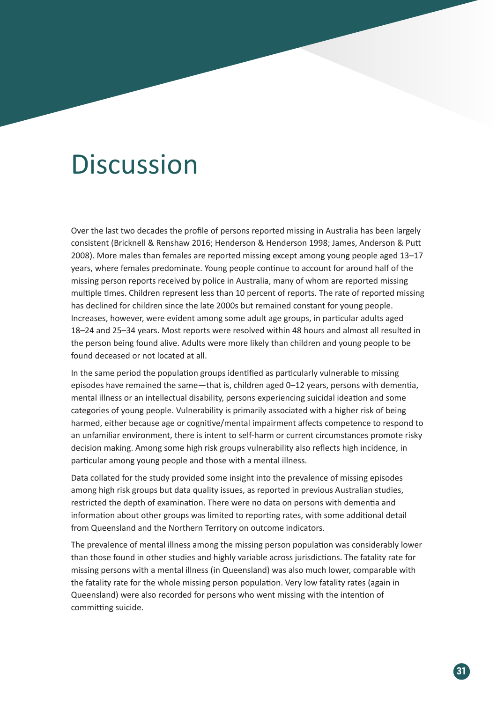## **Discussion**

Over the last two decades the profile of persons reported missing in Australia has been largely consistent (Bricknell & Renshaw 2016; Henderson & Henderson 1998; James, Anderson & Putt 2008). More males than females are reported missing except among young people aged 13–17 years, where females predominate. Young people continue to account for around half of the missing person reports received by police in Australia, many of whom are reported missing multiple times. Children represent less than 10 percent of reports. The rate of reported missing has declined for children since the late 2000s but remained constant for young people. Increases, however, were evident among some adult age groups, in particular adults aged 18–24 and 25–34 years. Most reports were resolved within 48 hours and almost all resulted in the person being found alive. Adults were more likely than children and young people to be found deceased or not located at all.

In the same period the population groups identified as particularly vulnerable to missing episodes have remained the same—that is, children aged 0–12 years, persons with dementia, mental illness or an intellectual disability, persons experiencing suicidal ideation and some categories of young people. Vulnerability is primarily associated with a higher risk of being harmed, either because age or cognitive/mental impairment affects competence to respond to an unfamiliar environment, there is intent to self-harm or current circumstances promote risky decision making. Among some high risk groups vulnerability also reflects high incidence, in particular among young people and those with a mental illness.

Data collated for the study provided some insight into the prevalence of missing episodes among high risk groups but data quality issues, as reported in previous Australian studies, restricted the depth of examination. There were no data on persons with dementia and information about other groups was limited to reporting rates, with some additional detail from Queensland and the Northern Territory on outcome indicators.

The prevalence of mental illness among the missing person population was considerably lower than those found in other studies and highly variable across jurisdictions. The fatality rate for missing persons with a mental illness (in Queensland) was also much lower, comparable with the fatality rate for the whole missing person population. Very low fatality rates (again in Queensland) were also recorded for persons who went missing with the intention of committing suicide.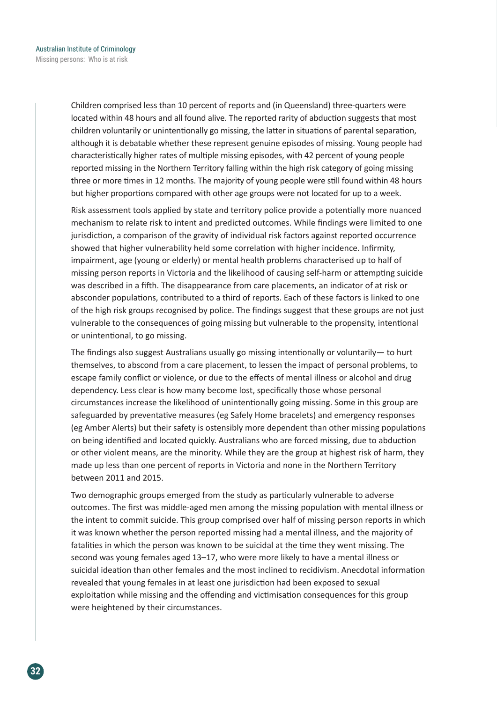Children comprised less than 10 percent of reports and (in Queensland) three-quarters were located within 48 hours and all found alive. The reported rarity of abduction suggests that most children voluntarily or unintentionally go missing, the latter in situations of parental separation, although it is debatable whether these represent genuine episodes of missing. Young people had characteristically higher rates of multiple missing episodes, with 42 percent of young people reported missing in the Northern Territory falling within the high risk category of going missing three or more times in 12 months. The majority of young people were still found within 48 hours but higher proportions compared with other age groups were not located for up to a week.

Risk assessment tools applied by state and territory police provide a potentially more nuanced mechanism to relate risk to intent and predicted outcomes. While findings were limited to one jurisdiction, a comparison of the gravity of individual risk factors against reported occurrence showed that higher vulnerability held some correlation with higher incidence. Infirmity, impairment, age (young or elderly) or mental health problems characterised up to half of missing person reports in Victoria and the likelihood of causing self-harm or attempting suicide was described in a fifth. The disappearance from care placements, an indicator of at risk or absconder populations, contributed to a third of reports. Each of these factors is linked to one of the high risk groups recognised by police. The findings suggest that these groups are not just vulnerable to the consequences of going missing but vulnerable to the propensity, intentional or unintentional, to go missing.

The findings also suggest Australians usually go missing intentionally or voluntarily— to hurt themselves, to abscond from a care placement, to lessen the impact of personal problems, to escape family conflict or violence, or due to the effects of mental illness or alcohol and drug dependency. Less clear is how many become lost, specifically those whose personal circumstances increase the likelihood of unintentionally going missing. Some in this group are safeguarded by preventative measures (eg Safely Home bracelets) and emergency responses (eg Amber Alerts) but their safety is ostensibly more dependent than other missing populations on being identified and located quickly. Australians who are forced missing, due to abduction or other violent means, are the minority. While they are the group at highest risk of harm, they made up less than one percent of reports in Victoria and none in the Northern Territory between 2011 and 2015.

Two demographic groups emerged from the study as particularly vulnerable to adverse outcomes. The first was middle-aged men among the missing population with mental illness or the intent to commit suicide. This group comprised over half of missing person reports in which it was known whether the person reported missing had a mental illness, and the majority of fatalities in which the person was known to be suicidal at the time they went missing. The second was young females aged 13–17, who were more likely to have a mental illness or suicidal ideation than other females and the most inclined to recidivism. Anecdotal information revealed that young females in at least one jurisdiction had been exposed to sexual exploitation while missing and the offending and victimisation consequences for this group were heightened by their circumstances.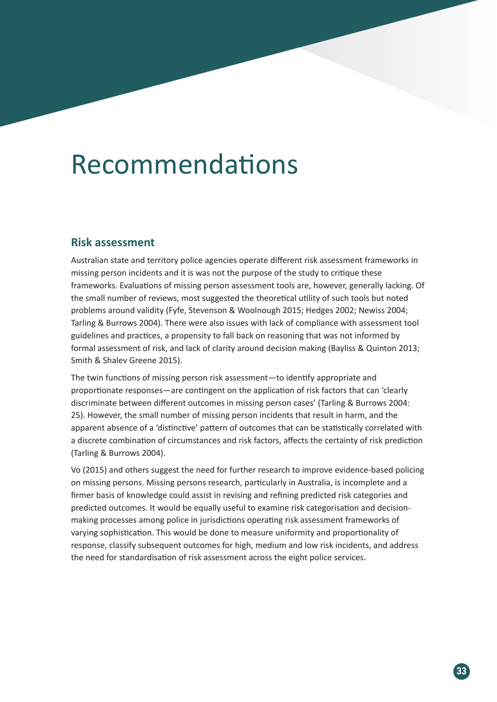## Recommendations

#### **Risk assessment**

Australian state and territory police agencies operate different risk assessment frameworks in missing person incidents and it is was not the purpose of the study to critique these frameworks. Evaluations of missing person assessment tools are, however, generally lacking. Of the small number of reviews, most suggested the theoretical utility of such tools but noted problems around validity (Fyfe, Stevenson & Woolnough 2015; Hedges 2002; Newiss 2004; Tarling & Burrows 2004). There were also issues with lack of compliance with assessment tool guidelines and practices, a propensity to fall back on reasoning that was not informed by formal assessment of risk, and lack of clarity around decision making (Bayliss & Quinton 2013; Smith & Shalev Greene 2015).

The twin functions of missing person risk assessment—to identify appropriate and proportionate responses—are contingent on the application of risk factors that can 'clearly discriminate between different outcomes in missing person cases' (Tarling & Burrows 2004: 25). However, the small number of missing person incidents that result in harm, and the apparent absence of a 'distinctive' pattern of outcomes that can be statistically correlated with a discrete combination of circumstances and risk factors, affects the certainty of risk prediction (Tarling & Burrows 2004).

Vo (2015) and others suggest the need for further research to improve evidence-based policing on missing persons. Missing persons research, particularly in Australia, is incomplete and a firmer basis of knowledge could assist in revising and refining predicted risk categories and predicted outcomes. It would be equally useful to examine risk categorisation and decisionmaking processes among police in jurisdictions operating risk assessment frameworks of varying sophistication. This would be done to measure uniformity and proportionality of response, classify subsequent outcomes for high, medium and low risk incidents, and address the need for standardisation of risk assessment across the eight police services.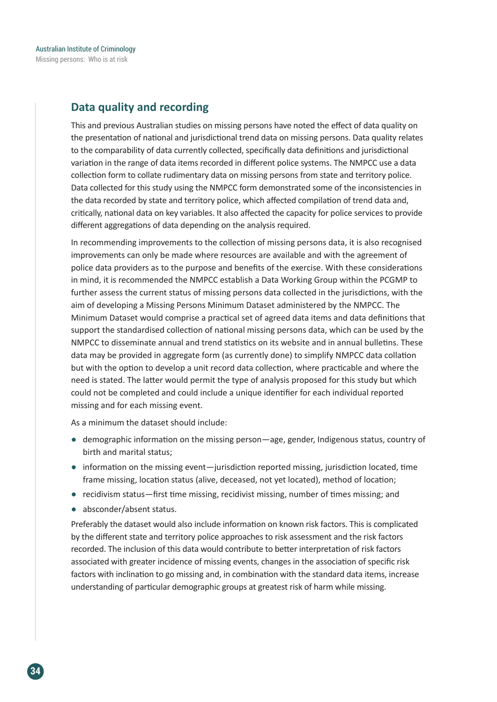### **Data quality and recording**

This and previous Australian studies on missing persons have noted the effect of data quality on the presentation of national and jurisdictional trend data on missing persons. Data quality relates to the comparability of data currently collected, specifically data definitions and jurisdictional variation in the range of data items recorded in different police systems. The NMPCC use a data collection form to collate rudimentary data on missing persons from state and territory police. Data collected for this study using the NMPCC form demonstrated some of the inconsistencies in the data recorded by state and territory police, which affected compilation of trend data and, critically, national data on key variables. It also affected the capacity for police services to provide different aggregations of data depending on the analysis required.

In recommending improvements to the collection of missing persons data, it is also recognised improvements can only be made where resources are available and with the agreement of police data providers as to the purpose and benefits of the exercise. With these considerations in mind, it is recommended the NMPCC establish a Data Working Group within the PCGMP to further assess the current status of missing persons data collected in the jurisdictions, with the aim of developing a Missing Persons Minimum Dataset administered by the NMPCC. The Minimum Dataset would comprise a practical set of agreed data items and data definitions that support the standardised collection of national missing persons data, which can be used by the NMPCC to disseminate annual and trend statistics on its website and in annual bulletins. These data may be provided in aggregate form (as currently done) to simplify NMPCC data collation but with the option to develop a unit record data collection, where practicable and where the need is stated. The latter would permit the type of analysis proposed for this study but which could not be completed and could include a unique identifier for each individual reported missing and for each missing event.

As a minimum the dataset should include:

- demographic information on the missing person—age, gender, Indigenous status, country of birth and marital status;
- information on the missing event—jurisdiction reported missing, jurisdiction located, time frame missing, location status (alive, deceased, not yet located), method of location;
- recidivism status—first time missing, recidivist missing, number of times missing; and
- absconder/absent status.

Preferably the dataset would also include information on known risk factors. This is complicated by the different state and territory police approaches to risk assessment and the risk factors recorded. The inclusion of this data would contribute to better interpretation of risk factors associated with greater incidence of missing events, changes in the association of specific risk factors with inclination to go missing and, in combination with the standard data items, increase understanding of particular demographic groups at greatest risk of harm while missing.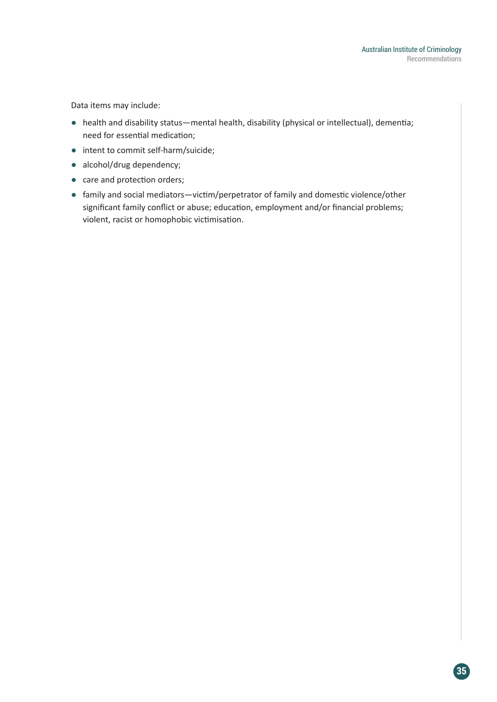Data items may include:

- health and disability status—mental health, disability (physical or intellectual), dementia; need for essential medication;
- intent to commit self-harm/suicide;
- alcohol/drug dependency;
- care and protection orders;
- family and social mediators—victim/perpetrator of family and domestic violence/other significant family conflict or abuse; education, employment and/or financial problems; violent, racist or homophobic victimisation.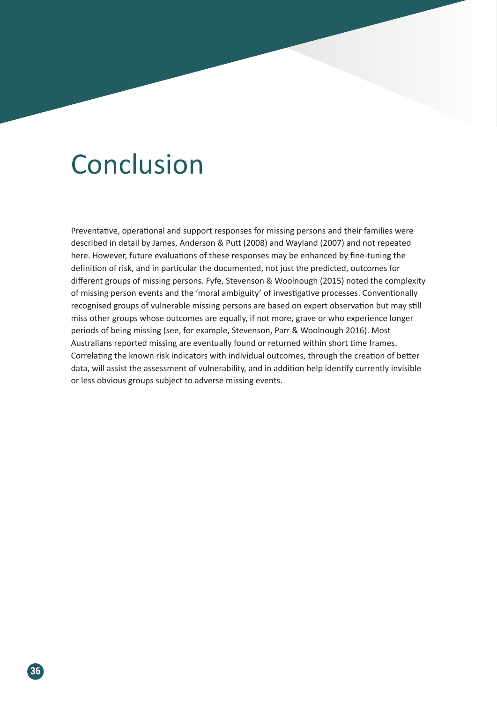## **Conclusion**

Preventative, operational and support responses for missing persons and their families were described in detail by James, Anderson & Putt (2008) and Wayland (2007) and not repeated here. However, future evaluations of these responses may be enhanced by fine-tuning the definition of risk, and in particular the documented, not just the predicted, outcomes for different groups of missing persons. Fyfe, Stevenson & Woolnough (2015) noted the complexity of missing person events and the 'moral ambiguity' of investigative processes. Conventionally recognised groups of vulnerable missing persons are based on expert observation but may still miss other groups whose outcomes are equally, if not more, grave or who experience longer periods of being missing (see, for example, Stevenson, Parr & Woolnough 2016). Most Australians reported missing are eventually found or returned within short time frames. Correlating the known risk indicators with individual outcomes, through the creation of better data, will assist the assessment of vulnerability, and in addition help identify currently invisible or less obvious groups subject to adverse missing events.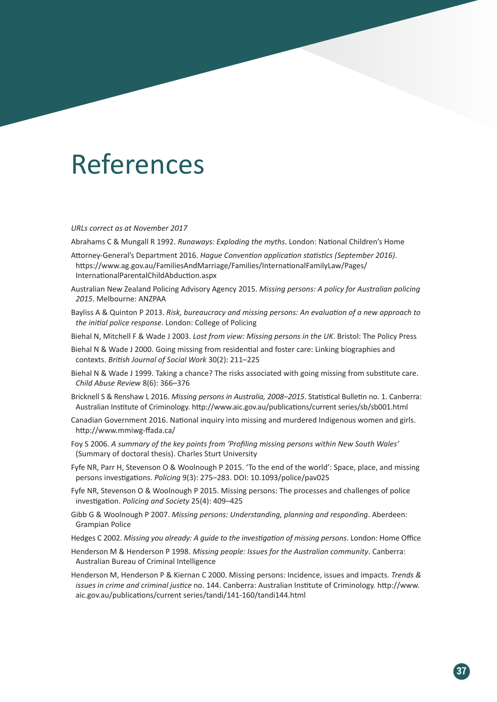## References

*URLs correct as at November 2017*

Abrahams C & Mungall R 1992. *Runaways: Exploding the myths*. London: National Children's Home

- Attorney-General's Department 2016. *Hague Convention application statistics (September 2016)*. https://www.ag.gov.au/FamiliesAndMarriage/Families/InternationalFamilyLaw/Pages/ InternationalParentalChildAbduction.aspx
- Australian New Zealand Policing Advisory Agency 2015. *Missing persons: A policy for Australian policing 2015*. Melbourne: ANZPAA
- Bayliss A & Quinton P 2013. *Risk, bureaucracy and missing persons: An evaluation of a new approach to the initial police response*. London: College of Policing
- Biehal N, Mitchell F & Wade J 2003. *Lost from view: Missing persons in the UK*. Bristol: The Policy Press
- Biehal N & Wade J 2000. Going missing from residential and foster care: Linking biographies and contexts. *British Journal of Social Work* 30(2): 211–225
- Biehal N & Wade J 1999. Taking a chance? The risks associated with going missing from substitute care. *Child Abuse Review* 8(6): 366–376
- Bricknell S & Renshaw L 2016. *Missing persons in Australia, 2008–2015*. Statistical Bulletin no. 1. Canberra: Australian Institute of Criminology. http://www.aic.gov.au/publications/current series/sb/sb001.html
- Canadian Government 2016. National inquiry into missing and murdered Indigenous women and girls. http://www.mmiwg-ffada.ca/
- Foy S 2006. *A summary of the key points from 'Profiling missing persons within New South Wales'* (Summary of doctoral thesis). Charles Sturt University
- Fyfe NR, Parr H, Stevenson O & Woolnough P 2015. 'To the end of the world': Space, place, and missing persons investigations. *Policing* 9(3): 275–283. DOI: 10.1093/police/pav025
- Fyfe NR, Stevenson O & Woolnough P 2015. Missing persons: The processes and challenges of police investigation. *Policing and Society* 25(4): 409–425
- Gibb G & Woolnough P 2007. *Missing persons: Understanding, planning and responding*. Aberdeen: Grampian Police
- Hedges C 2002. *Missing you already: A guide to the investigation of missing persons*. London: Home Office
- Henderson M & Henderson P 1998. *Missing people: Issues for the Australian community*. Canberra: Australian Bureau of Criminal Intelligence
- Henderson M, Henderson P & Kiernan C 2000. Missing persons: Incidence, issues and impacts. *Trends & issues in crime and criminal justice* no. 144. Canberra: Australian Institute of Criminology. http://www. aic.gov.au/publications/current series/tandi/141-160/tandi144.html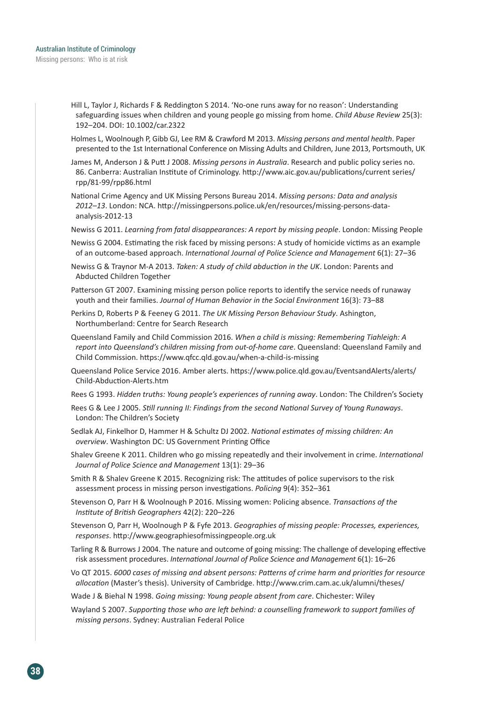- Hill L, Taylor J, Richards F & Reddington S 2014. 'No-one runs away for no reason': Understanding safeguarding issues when children and young people go missing from home. *Child Abuse Review* 25(3): 192–204. DOI: 10.1002/car.2322
- Holmes L, Woolnough P, Gibb GJ, Lee RM & Crawford M 2013. *Missing persons and mental health*. Paper presented to the 1st International Conference on Missing Adults and Children, June 2013, Portsmouth, UK
- James M, Anderson J & Putt J 2008. *Missing persons in Australia*. Research and public policy series no. 86. Canberra: Australian Institute of Criminology. http://www.aic.gov.au/publications/current series/ rpp/81-99/rpp86.html
- National Crime Agency and UK Missing Persons Bureau 2014. *Missing persons: Data and analysis 2012–13*. London: NCA. http://missingpersons.police.uk/en/resources/missing-persons-dataanalysis-2012-13
- Newiss G 2011. *Learning from fatal disappearances: A report by missing people*. London: Missing People
- Newiss G 2004. Estimating the risk faced by missing persons: A study of homicide victims as an example of an outcome-based approach. *International Journal of Police Science and Management* 6(1): 27–36
- Newiss G & Traynor M-A 2013. *Taken: A study of child abduction in the UK*. London: Parents and Abducted Children Together
- Patterson GT 2007. Examining missing person police reports to identify the service needs of runaway youth and their families. *Journal of Human Behavior in the Social Environment* 16(3): 73–88
- Perkins D, Roberts P & Feeney G 2011. *The UK Missing Person Behaviour Study*. Ashington, Northumberland: Centre for Search Research
- Queensland Family and Child Commission 2016. *When a child is missing: Remembering Tiahleigh: A report into Queensland's children missing from out-of-home care*. Queensland: Queensland Family and Child Commission. https://www.qfcc.qld.gov.au/when-a-child-is-missing
- Queensland Police Service 2016. Amber alerts. https://www.police.qld.gov.au/EventsandAlerts/alerts/ Child-Abduction-Alerts.htm
- Rees G 1993. *Hidden truths: Young people's experiences of running away*. London: The Children's Society
- Rees G & Lee J 2005. *Still running II: Findings from the second National Survey of Young Runaways*. London: The Children's Society
- Sedlak AJ, Finkelhor D, Hammer H & Schultz DJ 2002. *National estimates of missing children: An overview*. Washington DC: US Government Printing Office
- Shalev Greene K 2011. Children who go missing repeatedly and their involvement in crime. *International Journal of Police Science and Management* 13(1): 29–36
- Smith R & Shalev Greene K 2015. Recognizing risk: The attitudes of police supervisors to the risk assessment process in missing person investigations. *Policing* 9(4): 352–361
- Stevenson O, Parr H & Woolnough P 2016. Missing women: Policing absence. *Transactions of the Institute of British Geographers* 42(2): 220–226
- Stevenson O, Parr H, Woolnough P & Fyfe 2013. *Geographies of missing people: Processes, experiences, responses*. http://www.geographiesofmissingpeople.org.uk
- Tarling R & Burrows J 2004. The nature and outcome of going missing: The challenge of developing effective risk assessment procedures. *International Journal of Police Science and Management* 6(1): 16–26
- Vo QT 2015. *6000 cases of missing and absent persons: Patterns of crime harm and priorities for resource allocation* (Master's thesis). University of Cambridge. http://www.crim.cam.ac.uk/alumni/theses/
- Wade J & Biehal N 1998. *Going missing: Young people absent from care*. Chichester: Wiley
- Wayland S 2007. *Supporting those who are left behind: a counselling framework to support families of missing persons*. Sydney: Australian Federal Police